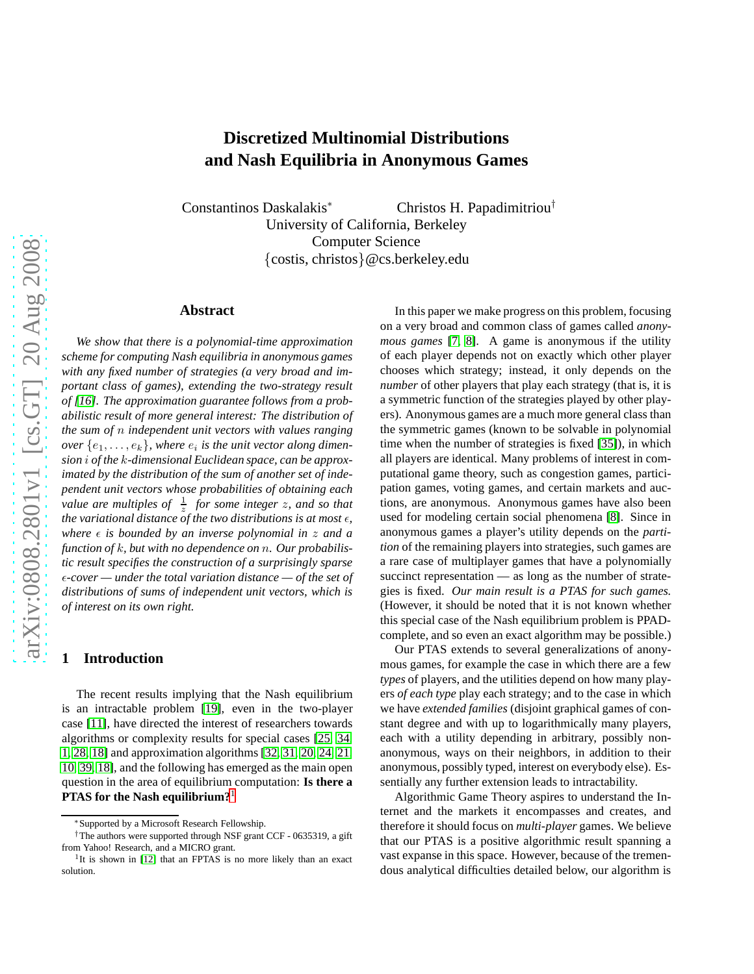# **Discretized Multinomial Distributions and Nash Equilibria in Anonymous Games**

Constantinos Daskalakis<sup>∗</sup> Christos H. Papadimitriou† University of California, Berkeley Computer Science {costis, christos}@cs.berkeley.edu

## **Abstract**

*We show that there is a polynomial-time approximation scheme for computing Nash equilibria in anonymous games with any fixed number of strategies (a very broad and important class of games), extending the two-strategy result of [\[16\]](#page-10-0). The approximation guarantee follows from a probabilistic result of more general interest: The distribution of the sum of* n *independent unit vectors with values ranging over*  $\{e_1, \ldots, e_k\}$ , where  $e_i$  is the unit vector along dimen*sion* i *of the* k*-dimensional Euclidean space, can be approximated by the distribution of the sum of another set of independent unit vectors whose probabilities of obtaining each value are multiples of*  $\frac{1}{z}$  *for some integer z, and so that the variational distance of the two distributions is at most*  $\epsilon$ *, where*  $\epsilon$  *is bounded by an inverse polynomial in*  $z$  *and a function of* k*, but with no dependence on* n*. Our probabilistic result specifies the construction of a surprisingly sparse* ǫ*-cover — under the total variation distance — of the set of distributions of sums of independent unit vectors, which is of interest on its own right.*

# **1 Introduction**

The recent results implying that the Nash equilibrium is an intractable problem [\[19\]](#page-10-1), even in the two-player case [\[11\]](#page-10-2), have directed the interest of researchers towards algorithms or complexity results for special cases [\[25,](#page-10-3) [34,](#page-10-4) [1,](#page-9-0) [28,](#page-10-5) [18\]](#page-10-6) and approximation algorithms [\[32,](#page-10-7) [31,](#page-10-8) [20,](#page-10-9) [24,](#page-10-10) [21,](#page-10-11) 10, 39, [18\]](#page-10-6), and the following has emerged as the main open question in the area of equilibrium computation: **Is there a PTAS for the Nash equilibrium?**[1](#page-0-0)

In this paper we make progress on this problem, focusing on a very broad and common class of games called *anonymous games* [\[7,](#page-9-1) [8\]](#page-9-2). A game is anonymous if the utility of each player depends not on exactly which other player chooses which strategy; instead, it only depends on the *number* of other players that play each strategy (that is, it is a symmetric function of the strategies played by other players). Anonymous games are a much more general class than the symmetric games (known to be solvable in polynomial time when the number of strategies is fixed [\[35\]](#page-10-13)), in which all players are identical. Many problems of interest in computational game theory, such as congestion games, participation games, voting games, and certain markets and auctions, are anonymous. Anonymous games have also been used for modeling certain social phenomena [\[8\]](#page-9-2). Since in anonymous games a player's utility depends on the *partition* of the remaining players into strategies, such games are a rare case of multiplayer games that have a polynomially succinct representation — as long as the number of strategies is fixed. *Our main result is a PTAS for such games.* (However, it should be noted that it is not known whether this special case of the Nash equilibrium problem is PPADcomplete, and so even an exact algorithm may be possible.)

Our PTAS extends to several generalizations of anonymous games, for example the case in which there are a few *types* of players, and the utilities depend on how many players *of each type* play each strategy; and to the case in which we have *extended families* (disjoint graphical games of constant degree and with up to logarithmically many players, each with a utility depending in arbitrary, possibly nonanonymous, ways on their neighbors, in addition to their anonymous, possibly typed, interest on everybody else). Essentially any further extension leads to intractability.

Algorithmic Game Theory aspires to understand the Internet and the markets it encompasses and creates, and therefore it should focus on *multi-player* games. We believe that our PTAS is a positive algorithmic result spanning a vast expanse in this space. However, because of the tremendous analytical difficulties detailed below, our algorithm is

<sup>∗</sup>Supported by a Microsoft Research Fellowship.

<sup>†</sup>The authors were supported through NSF grant CCF - 0635319, a gift from Yahoo! Research, and a MICRO grant.

<span id="page-0-0"></span><sup>&</sup>lt;sup>1</sup>It is shown in [\[12\]](#page-10-12) that an FPTAS is no more likely than an exact solution.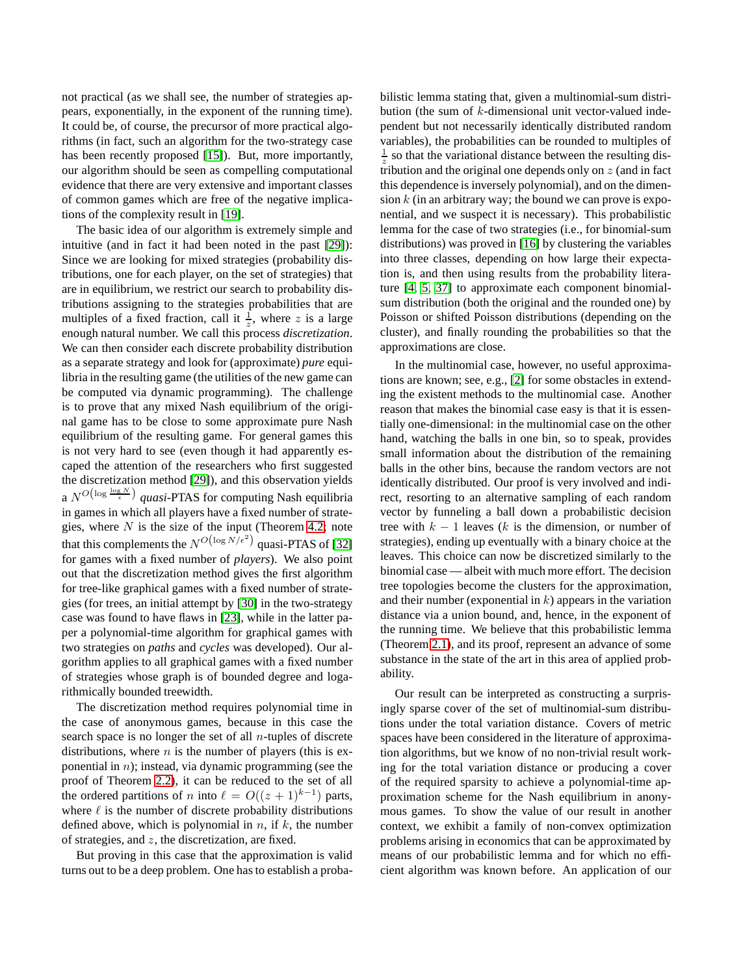not practical (as we shall see, the number of strategies appears, exponentially, in the exponent of the running time). It could be, of course, the precursor of more practical algorithms (in fact, such an algorithm for the two-strategy case has been recently proposed [\[15\]](#page-10-14)). But, more importantly, our algorithm should be seen as compelling computational evidence that there are very extensive and important classes of common games which are free of the negative implications of the complexity result in [\[19\]](#page-10-1).

The basic idea of our algorithm is extremely simple and intuitive (and in fact it had been noted in the past [\[29\]](#page-10-15)): Since we are looking for mixed strategies (probability distributions, one for each player, on the set of strategies) that are in equilibrium, we restrict our search to probability distributions assigning to the strategies probabilities that are multiples of a fixed fraction, call it  $\frac{1}{z}$ , where z is a large enough natural number. We call this process *discretization*. We can then consider each discrete probability distribution as a separate strategy and look for (approximate) *pure* equilibria in the resulting game (the utilities of the new game can be computed via dynamic programming). The challenge is to prove that any mixed Nash equilibrium of the original game has to be close to some approximate pure Nash equilibrium of the resulting game. For general games this is not very hard to see (even though it had apparently escaped the attention of the researchers who first suggested the discretization method [\[29\]](#page-10-15)), and this observation yields a  $N^{O\left(\log \frac{\log N}{\epsilon}\right)}$  *quasi*-PTAS for computing Nash equilibria in games in which all players have a fixed number of strategies, where  $N$  is the size of the input (Theorem [4.2;](#page-8-0) note that this complements the  $N^{O\left(\log N/\epsilon^2\right)}$  quasi-PTAS of [\[32\]](#page-10-7) for games with a fixed number of *players*). We also point out that the discretization method gives the first algorithm for tree-like graphical games with a fixed number of strategies (for trees, an initial attempt by [30] in the two-strategy case was found to have flaws in [\[23\]](#page-10-16), while in the latter paper a polynomial-time algorithm for graphical games with two strategies on *paths* and *cycles* was developed). Our algorithm applies to all graphical games with a fixed number of strategies whose graph is of bounded degree and logarithmically bounded treewidth.

The discretization method requires polynomial time in the case of anonymous games, because in this case the search space is no longer the set of all  $n$ -tuples of discrete distributions, where  $n$  is the number of players (this is exponential in  $n$ ); instead, via dynamic programming (see the proof of Theorem [2.2\)](#page-3-0), it can be reduced to the set of all the ordered partitions of n into  $\ell = O((z+1)^{k-1})$  parts, where  $\ell$  is the number of discrete probability distributions defined above, which is polynomial in  $n$ , if  $k$ , the number of strategies, and  $z$ , the discretization, are fixed.

But proving in this case that the approximation is valid turns out to be a deep problem. One has to establish a probabilistic lemma stating that, given a multinomial-sum distribution (the sum of k-dimensional unit vector-valued independent but not necessarily identically distributed random variables), the probabilities can be rounded to multiples of  $\frac{1}{z}$  so that the variational distance between the resulting distribution and the original one depends only on  $z$  (and in fact this dependence is inversely polynomial), and on the dimension  $k$  (in an arbitrary way; the bound we can prove is exponential, and we suspect it is necessary). This probabilistic lemma for the case of two strategies (i.e., for binomial-sum distributions) was proved in [\[16\]](#page-10-0) by clustering the variables into three classes, depending on how large their expectation is, and then using results from the probability literature [\[4,](#page-9-3) [5,](#page-9-4) [37\]](#page-10-17) to approximate each component binomialsum distribution (both the original and the rounded one) by Poisson or shifted Poisson distributions (depending on the cluster), and finally rounding the probabilities so that the approximations are close.

In the multinomial case, however, no useful approximations are known; see, e.g., [\[2\]](#page-9-5) for some obstacles in extending the existent methods to the multinomial case. Another reason that makes the binomial case easy is that it is essentially one-dimensional: in the multinomial case on the other hand, watching the balls in one bin, so to speak, provides small information about the distribution of the remaining balls in the other bins, because the random vectors are not identically distributed. Our proof is very involved and indirect, resorting to an alternative sampling of each random vector by funneling a ball down a probabilistic decision tree with  $k - 1$  leaves (k is the dimension, or number of strategies), ending up eventually with a binary choice at the leaves. This choice can now be discretized similarly to the binomial case — albeit with much more effort. The decision tree topologies become the clusters for the approximation, and their number (exponential in  $k$ ) appears in the variation distance via a union bound, and, hence, in the exponent of the running time. We believe that this probabilistic lemma (Theorem [2.1\)](#page-2-0), and its proof, represent an advance of some substance in the state of the art in this area of applied probability.

Our result can be interpreted as constructing a surprisingly sparse cover of the set of multinomial-sum distributions under the total variation distance. Covers of metric spaces have been considered in the literature of approximation algorithms, but we know of no non-trivial result working for the total variation distance or producing a cover of the required sparsity to achieve a polynomial-time approximation scheme for the Nash equilibrium in anonymous games. To show the value of our result in another context, we exhibit a family of non-convex optimization problems arising in economics that can be approximated by means of our probabilistic lemma and for which no efficient algorithm was known before. An application of our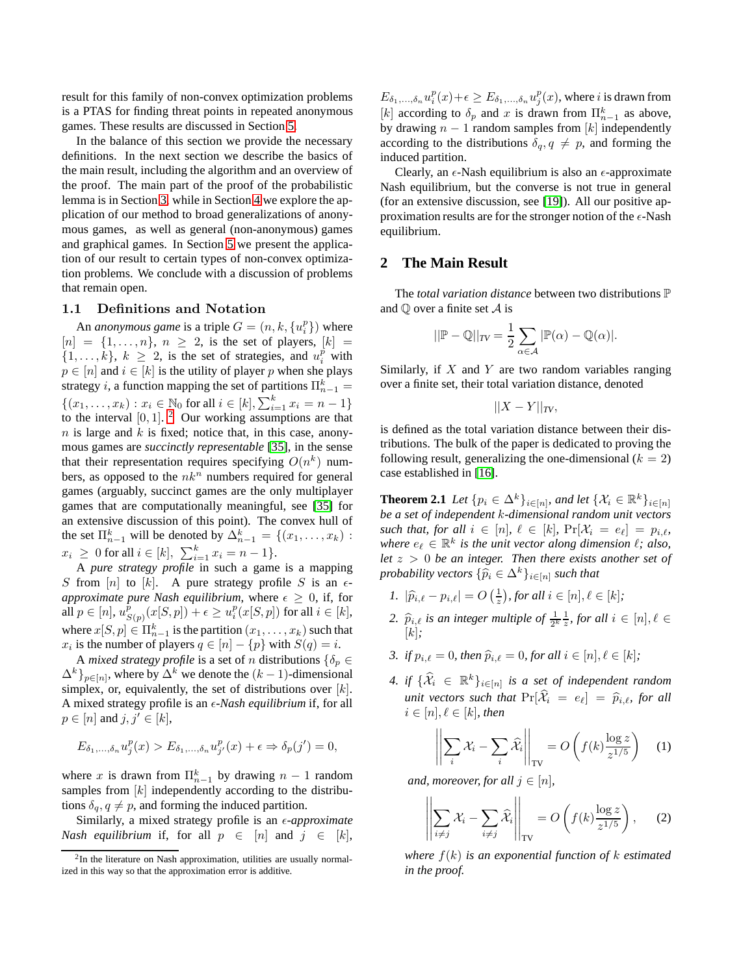result for this family of non-convex optimization problems is a PTAS for finding threat points in repeated anonymous games. These results are discussed in Section [5.](#page-8-1)

In the balance of this section we provide the necessary definitions. In the next section we describe the basics of the main result, including the algorithm and an overview of the proof. The main part of the proof of the probabilistic lemma is in Section [3,](#page-5-0) while in Section [4](#page-8-2) we explore the application of our method to broad generalizations of anonymous games, as well as general (non-anonymous) games and graphical games. In Section [5](#page-8-1) we present the application of our result to certain types of non-convex optimization problems. We conclude with a discussion of problems that remain open.

#### 1.1 Definitions and Notation

An *anonymous game* is a triple  $G = (n, k, \{u_i^p\})$  where  $[n] = \{1, \ldots, n\}, n \geq 2$ , is the set of players,  $[k] =$  $\{1, \ldots, k\}, k \geq 2$ , is the set of strategies, and  $u_i^p$  with  $p \in [n]$  and  $i \in [k]$  is the utility of player p when she plays strategy *i*, a function mapping the set of partitions  $\Pi_{n-1}^k =$  $\{(x_1, \ldots, x_k) : x_i \in \mathbb{N}_0 \text{ for all } i \in [k], \sum_{i=1}^k x_i = n-1\}$ to the interval  $[0, 1]$ . <sup>[2](#page-2-1)</sup> Our working assumptions are that  $n$  is large and  $k$  is fixed; notice that, in this case, anonymous games are *succinctly representable* [\[35\]](#page-10-13), in the sense that their representation requires specifying  $O(n^k)$  numbers, as opposed to the  $nk^n$  numbers required for general games (arguably, succinct games are the only multiplayer games that are computationally meaningful, see [\[35\]](#page-10-13) for an extensive discussion of this point). The convex hull of the set  $\Pi_{n-1}^k$  will be denoted by  $\Delta_{n-1}^k = \{(x_1, \ldots, x_k) :$  $x_i \geq 0$  for all  $i \in [k], \sum_{i=1}^k x_i = n-1$ .

A *pure strategy profile* in such a game is a mapping S from  $[n]$  to  $[k]$ . A pure strategy profile S is an  $\epsilon$ *approximate pure Nash equilibrium*, where  $\epsilon \geq 0$ , if, for all  $p \in [n]$ ,  $u_S^{\tilde{p}}$  $\hat{\frac{p}{S(p)}}(x[S,p]) + \epsilon \geq u^p_i(x[S,p])$  for all  $i \in [k],$ where  $x[S, p] \in \Pi_{n-1}^k$  is the partition  $(x_1, \ldots, x_k)$  such that  $x_i$  is the number of players  $q \in [n] - \{p\}$  with  $S(q) = i$ .

A *mixed strategy profile* is a set of *n* distributions  $\{\delta_p \in$  $\{\Delta^k\}_{p \in [n]}$ , where by  $\Delta^k$  we denote the  $(k-1)$ -dimensional simplex, or, equivalently, the set of distributions over  $[k]$ . A mixed strategy profile is an  $\epsilon$ -Nash equilibrium if, for all  $p \in [n]$  and  $j, j' \in [k]$ ,

$$
E_{\delta_1,\ldots,\delta_n}u_j^p(x) > E_{\delta_1,\ldots,\delta_n}u_{j'}^p(x) + \epsilon \Rightarrow \delta_p(j') = 0,
$$

where x is drawn from  $\prod_{n=1}^{k}$  by drawing  $n-1$  random samples from  $[k]$  independently according to the distributions  $\delta_q$ ,  $q \neq p$ , and forming the induced partition.

Similarly, a mixed strategy profile is an  $\epsilon$ -*approximate Nash equilibrium* if, for all  $p \in [n]$  and  $j \in [k]$ ,

 $E_{\delta_1,...,\delta_n}u_i^p(x)+\epsilon\geq E_{\delta_1,...,\delta_n}u_j^p(x)$ , where *i* is drawn from [k] according to  $\delta_p$  and x is drawn from  $\prod_{n=1}^k$  as above, by drawing  $n - 1$  random samples from [k] independently according to the distributions  $\delta_q$ ,  $q \neq p$ , and forming the induced partition.

Clearly, an  $\epsilon$ -Nash equilibrium is also an  $\epsilon$ -approximate Nash equilibrium, but the converse is not true in general (for an extensive discussion, see [\[19\]](#page-10-1)). All our positive approximation results are for the stronger notion of the  $\epsilon$ -Nash equilibrium.

## **2 The Main Result**

The *total variation distance* between two distributions P and  $\mathbb Q$  over a finite set  $\mathcal A$  is

$$
||\mathbb{P} - \mathbb{Q}||_{TV} = \frac{1}{2} \sum_{\alpha \in \mathcal{A}} |\mathbb{P}(\alpha) - \mathbb{Q}(\alpha)|.
$$

Similarly, if  $X$  and  $Y$  are two random variables ranging over a finite set, their total variation distance, denoted

$$
||X-Y||_{TV},
$$

is defined as the total variation distance between their distributions. The bulk of the paper is dedicated to proving the following result, generalizing the one-dimensional  $(k = 2)$ case established in [\[16\]](#page-10-0).

<span id="page-2-0"></span>**Theorem 2.1** *Let*  $\{p_i \in \Delta^k\}_{i \in [n]}$ *, and let*  $\{\mathcal{X}_i \in \mathbb{R}^k\}_{i \in [n]}$ *be a set of independent* k*-dimensional random unit vectors such that, for all*  $i \in [n]$ ,  $\ell \in [k]$ ,  $\Pr[\mathcal{X}_i = e_\ell] = p_{i,\ell}$ , where  $e_{\ell} \in \mathbb{R}^k$  is the unit vector along dimension  $\ell$ ; also, *let* z > 0 *be an integer. Then there exists another set of probability vectors*  $\{\widehat{p}_i \in \Delta^k\}_{i \in [n]}$  *such that* 

- <span id="page-2-5"></span><span id="page-2-2"></span>*1.*  $|\hat{p}_{i,\ell} - p_{i,\ell}| = O\left(\frac{1}{z}\right)$ , for all  $i \in [n], \ell \in [k]$ ;
- 2.  $\hat{p}_{i,\ell}$  *is an integer multiple of*  $\frac{1}{2^k} \frac{1}{z}$ *, for all*  $i \in [n], \ell \in$ [k]*;*
- <span id="page-2-6"></span>*3. if*  $p_{i,\ell} = 0$ *, then*  $\hat{p}_{i,\ell} = 0$ *, for all*  $i \in [n], \ell \in [k]$ ;
- *4. if*  $\{\mathcal{X}_i \in \mathbb{R}^k\}_{i \in [n]}$  *is a set of independent random unit vectors such that*  $\Pr[\widehat{X}_i = e_\ell] = \widehat{p}_{i,\ell}$ *, for all*  $i \in [n], \ell \in [k]$ , then

<span id="page-2-3"></span>
$$
\left\| \sum_{i} \mathcal{X}_{i} - \sum_{i} \widehat{\mathcal{X}}_{i} \right\|_{\text{TV}} = O\left(f(k) \frac{\log z}{z^{1/5}}\right) \quad (1)
$$

*and, moreover, for all*  $j \in [n]$ *,* 

<span id="page-2-4"></span>
$$
\left\| \sum_{i \neq j} \mathcal{X}_i - \sum_{i \neq j} \widehat{\mathcal{X}}_i \right\|_{\text{TV}} = O\left(f(k) \frac{\log z}{z^{1/5}}\right), \quad (2)
$$

*where* f(k) *is an exponential function of* k *estimated in the proof.*

<span id="page-2-1"></span><sup>&</sup>lt;sup>2</sup>In the literature on Nash approximation, utilities are usually normalized in this way so that the approximation error is additive.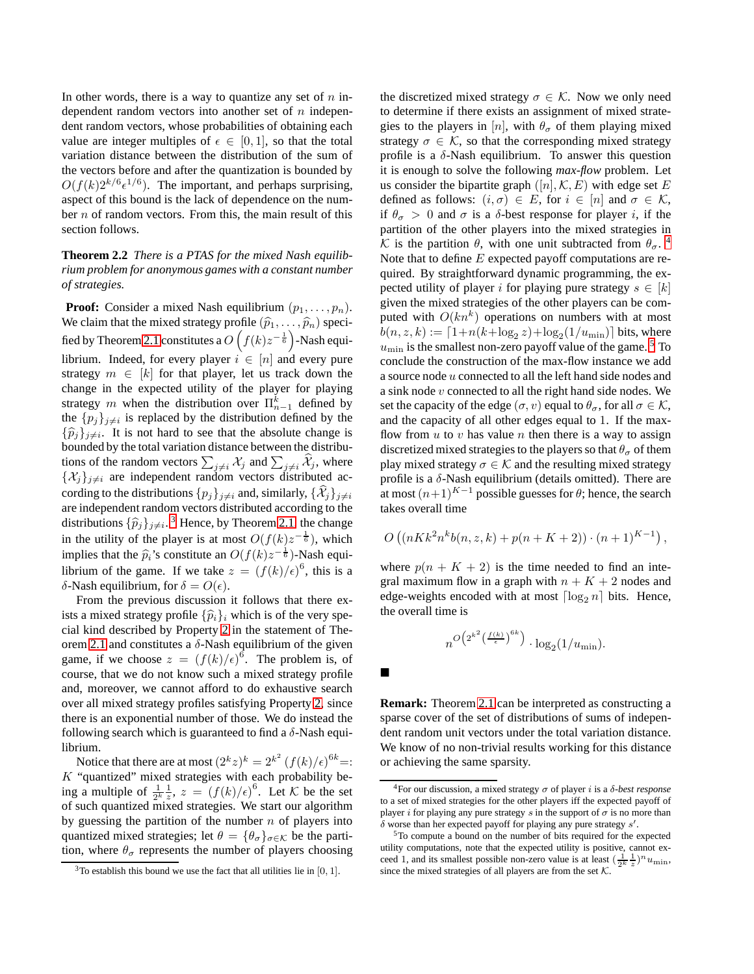In other words, there is a way to quantize any set of  $n$  independent random vectors into another set of  $n$  independent random vectors, whose probabilities of obtaining each value are integer multiples of  $\epsilon \in [0,1]$ , so that the total variation distance between the distribution of the sum of the vectors before and after the quantization is bounded by  $O(f(k)2^{k/6} \epsilon^{1/6})$ . The important, and perhaps surprising, aspect of this bound is the lack of dependence on the number n of random vectors. From this, the main result of this section follows.

<span id="page-3-0"></span>**Theorem 2.2** *There is a PTAS for the mixed Nash equilibrium problem for anonymous games with a constant number of strategies.*

**Proof:** Consider a mixed Nash equilibrium  $(p_1, \ldots, p_n)$ . We claim that the mixed strategy profile  $(\widehat{p}_1, \ldots, \widehat{p}_n)$  speci-fied by Theorem [2.1](#page-2-0) constitutes a  $O(f(k)z^{-\frac{1}{6}})$ -Nash equilibrium. Indeed, for every player  $i \in [n]$  and every pure strategy  $m \in [k]$  for that player, let us track down the change in the expected utility of the player for playing strategy m when the distribution over  $\Pi_{n-1}^k$  defined by the  $\{p_j\}_{j\neq i}$  is replaced by the distribution defined by the  $\{\widehat{p}_j\}_{j \neq i}$ . It is not hard to see that the absolute change is bounded by the total variation distance between the distributions of the random vectors  $\sum_{j\neq i} \mathcal{X}_j$  and  $\sum_{j\neq i} \widehat{\mathcal{X}}_j$ , where  $\{\mathcal{X}_j\}_{j\neq i}$  are independent random vectors distributed according to the distributions  $\{p_j\}_{j\neq i}$  and, similarly,  $\{\mathcal{X}_j\}_{j\neq i}$ are independent random vectors distributed according to the distributions  $\{\widehat{p}_j\}_{j\neq i}$ .<sup>[3](#page-3-1)</sup> Hence, by Theorem [2.1,](#page-2-0) the change in the utility of the player is at most  $O(f(k)z^{-\frac{1}{6}})$ , which implies that the  $\hat{p}_i$ 's constitute an  $O(f(k)z^{-\frac{1}{6}})$ -Nash equi-<br> $\sum_{i=1}^{k}$ librium of the game. If we take  $z = (f(k)/\epsilon)^6$ , this is a δ-Nash equilibrium, for  $\delta = O(ε)$ .

From the previous discussion it follows that there exists a mixed strategy profile  $\{\widehat{p}_i\}_i$  which is of the very special kind described by Property [2](#page-2-2) in the statement of The-orem [2.1](#page-2-0) and constitutes a  $\delta$ -Nash equilibrium of the given game, if we choose  $z = (f(k)/\epsilon)^6$ . The problem is, of course, that we do not know such a mixed strategy profile and, moreover, we cannot afford to do exhaustive search over all mixed strategy profiles satisfying Property [2,](#page-2-2) since there is an exponential number of those. We do instead the following search which is guaranteed to find a  $\delta$ -Nash equilibrium.

Notice that there are at most  $(2^k z)^k = 2^{k^2} (f(k)/\epsilon)^{6k} =$ :  $K$  "quantized" mixed strategies with each probability being a multiple of  $\frac{1}{2^k} \frac{1}{z}$ ,  $z = (f(k)/\epsilon)^6$ . Let K be the set of such quantized mixed strategies. We start our algorithm by guessing the partition of the number  $n$  of players into quantized mixed strategies; let  $\theta = {\theta_{\sigma}}_{\sigma \in \mathcal{K}}$  be the partition, where  $\theta_{\sigma}$  represents the number of players choosing the discretized mixed strategy  $\sigma \in \mathcal{K}$ . Now we only need to determine if there exists an assignment of mixed strategies to the players in [n], with  $\theta_{\sigma}$  of them playing mixed strategy  $\sigma \in \mathcal{K}$ , so that the corresponding mixed strategy profile is a  $\delta$ -Nash equilibrium. To answer this question it is enough to solve the following *max-flow* problem. Let us consider the bipartite graph  $([n], \mathcal{K}, E)$  with edge set E defined as follows:  $(i, \sigma) \in E$ , for  $i \in [n]$  and  $\sigma \in \mathcal{K}$ , if  $\theta_{\sigma} > 0$  and  $\sigma$  is a  $\delta$ -best response for player i, if the partition of the other players into the mixed strategies in K is the partition  $\theta$ , with one unit subtracted from  $\theta_{\sigma}$ . Note that to define  $E$  expected payoff computations are required. By straightforward dynamic programming, the expected utility of player i for playing pure strategy  $s \in [k]$ given the mixed strategies of the other players can be computed with  $O(kn^k)$  operations on numbers with at most  $b(n, z, k) := \lceil 1 + n(k + \log_2 z) + \log_2(1/u_{\min}) \rceil$  bits, where  $u_{\text{min}}$  is the smallest non-zero payoff value of the game.<sup>[5](#page-3-3)</sup> To conclude the construction of the max-flow instance we add a source node u connected to all the left hand side nodes and a sink node v connected to all the right hand side nodes. We set the capacity of the edge  $(\sigma, v)$  equal to  $\theta_{\sigma}$ , for all  $\sigma \in \mathcal{K}$ , and the capacity of all other edges equal to 1. If the maxflow from  $u$  to  $v$  has value  $n$  then there is a way to assign discretized mixed strategies to the players so that  $\theta_{\sigma}$  of them play mixed strategy  $\sigma \in \mathcal{K}$  and the resulting mixed strategy profile is a  $\delta$ -Nash equilibrium (details omitted). There are at most  $(n+1)^{K-1}$  possible guesses for  $\theta$ ; hence, the search takes overall time

$$
O((nKk^{2}n^{k}b(n, z, k) + p(n + K + 2)) \cdot (n + 1)^{K-1}),
$$

where  $p(n + K + 2)$  is the time needed to find an integral maximum flow in a graph with  $n + K + 2$  nodes and edge-weights encoded with at most  $\lceil \log_2 n \rceil$  bits. Hence, the overall time is

$$
n^{O\left(2^{k^2} \left(\frac{f(k)}{\epsilon}\right)^{6k}\right)} \cdot \log_2(1/u_{\min}).
$$

п

**Remark:** Theorem [2.1](#page-2-0) can be interpreted as constructing a sparse cover of the set of distributions of sums of independent random unit vectors under the total variation distance. We know of no non-trivial results working for this distance or achieving the same sparsity.

<span id="page-3-1"></span> $3$ To establish this bound we use the fact that all utilities lie in [0, 1].

<span id="page-3-2"></span><sup>&</sup>lt;sup>4</sup>For our discussion, a mixed strategy  $\sigma$  of player *i* is a δ-best response to a set of mixed strategies for the other players iff the expected payoff of player i for playing any pure strategy s in the support of  $\sigma$  is no more than  $\delta$  worse than her expected payoff for playing any pure strategy  $s'$ .

<span id="page-3-3"></span><sup>5</sup>To compute a bound on the number of bits required for the expected utility computations, note that the expected utility is positive, cannot exceed 1, and its smallest possible non-zero value is at least  $(\frac{1}{2^k} \frac{1}{z})^n u_{\text{min}}$ , since the mixed strategies of all players are from the set  $K$ .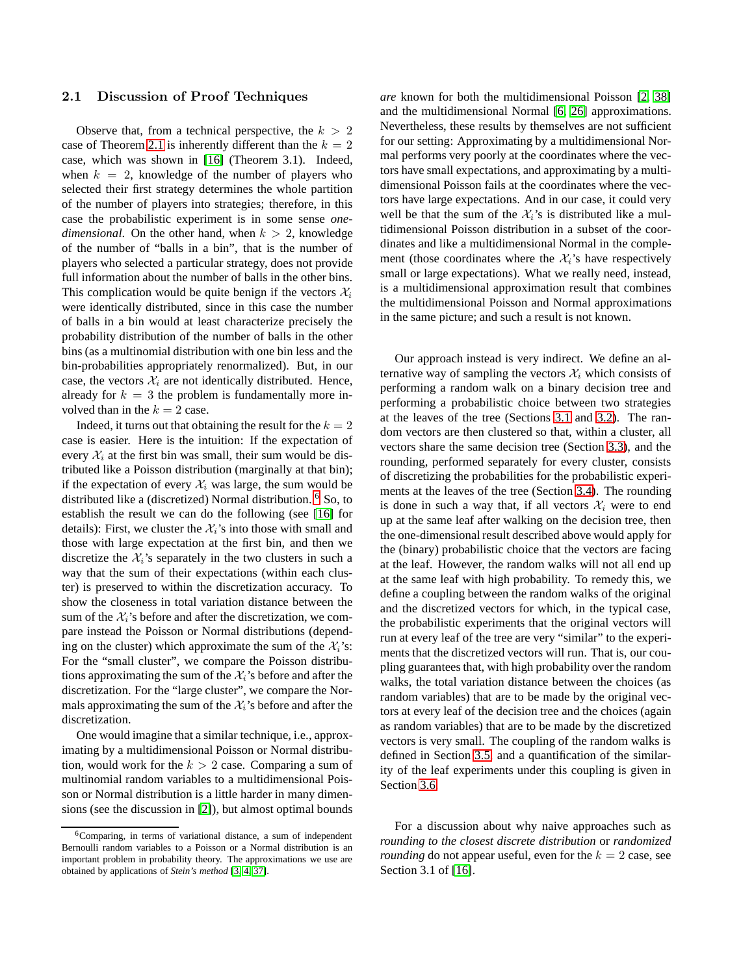#### 2.1 Discussion of Proof Techniques

Observe that, from a technical perspective, the  $k > 2$ case of Theorem [2.1](#page-2-0) is inherently different than the  $k = 2$ case, which was shown in [\[16\]](#page-10-0) (Theorem 3.1). Indeed, when  $k = 2$ , knowledge of the number of players who selected their first strategy determines the whole partition of the number of players into strategies; therefore, in this case the probabilistic experiment is in some sense *onedimensional*. On the other hand, when  $k > 2$ , knowledge of the number of "balls in a bin", that is the number of players who selected a particular strategy, does not provide full information about the number of balls in the other bins. This complication would be quite benign if the vectors  $\mathcal{X}_i$ were identically distributed, since in this case the number of balls in a bin would at least characterize precisely the probability distribution of the number of balls in the other bins (as a multinomial distribution with one bin less and the bin-probabilities appropriately renormalized). But, in our case, the vectors  $\mathcal{X}_i$  are not identically distributed. Hence, already for  $k = 3$  the problem is fundamentally more involved than in the  $k = 2$  case.

Indeed, it turns out that obtaining the result for the  $k = 2$ case is easier. Here is the intuition: If the expectation of every  $\mathcal{X}_i$  at the first bin was small, their sum would be distributed like a Poisson distribution (marginally at that bin); if the expectation of every  $\mathcal{X}_i$  was large, the sum would be distributed like a (discretized) Normal distribution. [6](#page-4-0) So, to establish the result we can do the following (see [\[16\]](#page-10-0) for details): First, we cluster the  $\mathcal{X}_i$ 's into those with small and those with large expectation at the first bin, and then we discretize the  $\mathcal{X}_i$ 's separately in the two clusters in such a way that the sum of their expectations (within each cluster) is preserved to within the discretization accuracy. To show the closeness in total variation distance between the sum of the  $\mathcal{X}_i$ 's before and after the discretization, we compare instead the Poisson or Normal distributions (depending on the cluster) which approximate the sum of the  $\mathcal{X}_i$ 's: For the "small cluster", we compare the Poisson distributions approximating the sum of the  $\mathcal{X}_i$ 's before and after the discretization. For the "large cluster", we compare the Normals approximating the sum of the  $\mathcal{X}_i$ 's before and after the discretization.

One would imagine that a similar technique, i.e., approximating by a multidimensional Poisson or Normal distribution, would work for the  $k > 2$  case. Comparing a sum of multinomial random variables to a multidimensional Poisson or Normal distribution is a little harder in many dimensions (see the discussion in [\[2\]](#page-9-5)), but almost optimal bounds

*are* known for both the multidimensional Poisson [\[2,](#page-9-5) [38\]](#page-10-18) and the multidimensional Normal [\[6,](#page-9-7) [26\]](#page-10-19) approximations. Nevertheless, these results by themselves are not sufficient for our setting: Approximating by a multidimensional Normal performs very poorly at the coordinates where the vectors have small expectations, and approximating by a multidimensional Poisson fails at the coordinates where the vectors have large expectations. And in our case, it could very well be that the sum of the  $\mathcal{X}_i$ 's is distributed like a multidimensional Poisson distribution in a subset of the coordinates and like a multidimensional Normal in the complement (those coordinates where the  $\mathcal{X}_i$ 's have respectively small or large expectations). What we really need, instead, is a multidimensional approximation result that combines the multidimensional Poisson and Normal approximations in the same picture; and such a result is not known.

Our approach instead is very indirect. We define an alternative way of sampling the vectors  $\mathcal{X}_i$  which consists of performing a random walk on a binary decision tree and performing a probabilistic choice between two strategies at the leaves of the tree (Sections [3.1](#page-5-1) and [3.2\)](#page-5-2). The random vectors are then clustered so that, within a cluster, all vectors share the same decision tree (Section [3.3\)](#page-5-3), and the rounding, performed separately for every cluster, consists of discretizing the probabilities for the probabilistic experiments at the leaves of the tree (Section [3.4\)](#page-6-0). The rounding is done in such a way that, if all vectors  $\mathcal{X}_i$  were to end up at the same leaf after walking on the decision tree, then the one-dimensional result described above would apply for the (binary) probabilistic choice that the vectors are facing at the leaf. However, the random walks will not all end up at the same leaf with high probability. To remedy this, we define a coupling between the random walks of the original and the discretized vectors for which, in the typical case, the probabilistic experiments that the original vectors will run at every leaf of the tree are very "similar" to the experiments that the discretized vectors will run. That is, our coupling guarantees that, with high probability over the random walks, the total variation distance between the choices (as random variables) that are to be made by the original vectors at every leaf of the decision tree and the choices (again as random variables) that are to be made by the discretized vectors is very small. The coupling of the random walks is defined in Section [3.5,](#page-6-1) and a quantification of the similarity of the leaf experiments under this coupling is given in Section [3.6.](#page-7-0)

For a discussion about why naive approaches such as *rounding to the closest discrete distribution* or *randomized rounding* do not appear useful, even for the  $k = 2$  case, see Section 3.1 of [\[16\]](#page-10-0).

<span id="page-4-0"></span><sup>6</sup>Comparing, in terms of variational distance, a sum of independent Bernoulli random variables to a Poisson or a Normal distribution is an important problem in probability theory. The approximations we use are obtained by applications of *Stein's method* [\[3,](#page-9-6) [4,](#page-9-3) [37\]](#page-10-17).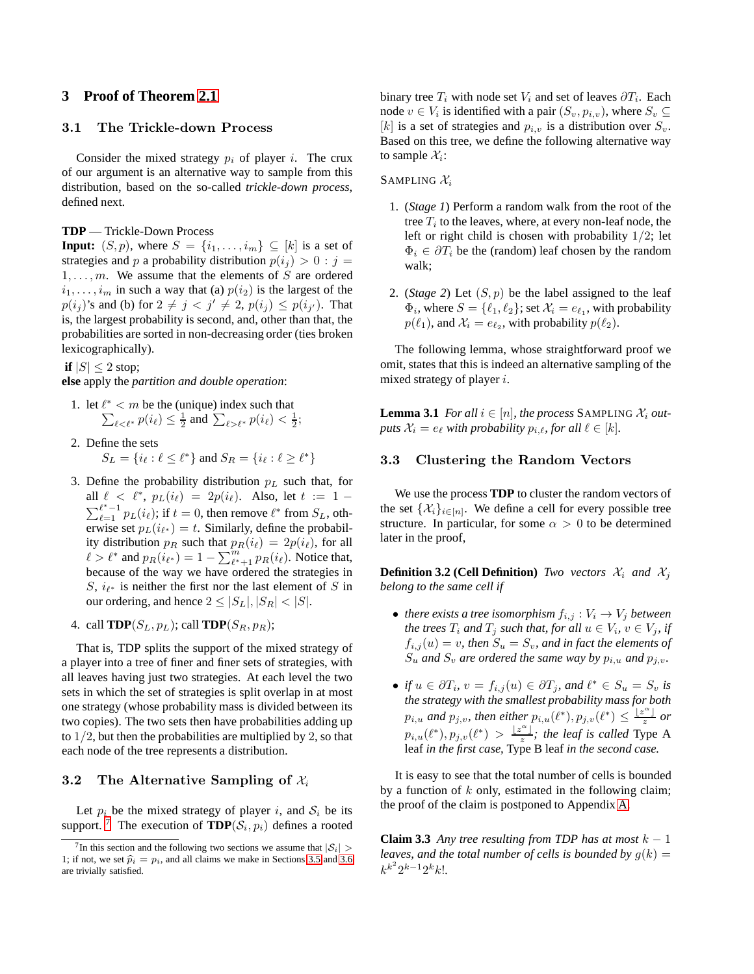# <span id="page-5-1"></span><span id="page-5-0"></span>**3 Proof of Theorem [2.1](#page-2-0)**

## 3.1 The Trickle-down Process

Consider the mixed strategy  $p_i$  of player i. The crux of our argument is an alternative way to sample from this distribution, based on the so-called *trickle-down process*, defined next.

#### **TDP** — Trickle-Down Process

**Input:**  $(S, p)$ , where  $S = \{i_1, \ldots, i_m\} \subseteq [k]$  is a set of strategies and p a probability distribution  $p(i_j) > 0 : j =$  $1, \ldots, m$ . We assume that the elements of S are ordered  $i_1, \ldots, i_m$  in such a way that (a)  $p(i_2)$  is the largest of the  $p(i_j)$ 's and (b) for  $2 \neq j < j' \neq 2$ ,  $p(i_j) \leq p(i_{j'})$ . That is, the largest probability is second, and, other than that, the probabilities are sorted in non-decreasing order (ties broken lexicographically).

**if**  $|S| \leq 2$  stop;

**else** apply the *partition and double operation*:

- 1. let  $\ell^*$  < *m* be the (unique) index such that  $\sum_{\ell < \ell^*} p(i_\ell) \leq \frac{1}{2}$  and  $\sum_{\ell > \ell^*} p(i_\ell) < \frac{1}{2}$ ;
- 2. Define the sets  $S_L = \{i_\ell : \ell \leq \ell^*\}$  and  $S_R = \{i_\ell : \ell \geq \ell^*\}$
- 3. Define the probability distribution  $p<sub>L</sub>$  such that, for all  $\ell < \ell^*$ ,  $p_L(i_{\ell}) = 2p(i_{\ell})$ . Also, let  $t := 1$ all  $\ell < \ell^*$ ,  $p_L(i_{\ell}) = 2p(i_{\ell})$ . Also, let  $t := 1 - \sum_{\ell=1}^{\ell^* - 1} p_L(i_{\ell})$ ; if  $t = 0$ , then remove  $\ell^*$  from  $S_L$ , otherwise set  $p_L(i_{\ell^*}) = t$ . Similarly, define the probability distribution  $p_R$  such that  $p_R(i_\ell) = 2p(i_\ell)$ , for all  $\ell > \ell^*$  and  $p_R(i_{\ell^*}) = 1 - \sum_{\ell^*+1}^m p_R(i_\ell)$ . Notice that, because of the way we have ordered the strategies in S,  $i_{\ell^*}$  is neither the first nor the last element of S in our ordering, and hence  $2 \leq |S_L|, |S_R| < |S|$ .

4. call **TDP**( $S_L, p_L$ ); call **TDP**( $S_R, p_R$ );

That is, TDP splits the support of the mixed strategy of a player into a tree of finer and finer sets of strategies, with all leaves having just two strategies. At each level the two sets in which the set of strategies is split overlap in at most one strategy (whose probability mass is divided between its two copies). The two sets then have probabilities adding up to  $1/2$ , but then the probabilities are multiplied by 2, so that each node of the tree represents a distribution.

#### <span id="page-5-2"></span>3.2 The Alternative Sampling of  $\mathcal{X}_i$

Let  $p_i$  be the mixed strategy of player i, and  $S_i$  be its support.<sup>[7](#page-5-4)</sup> The execution of  $\mathbf{TDP}(\mathcal{S}_i, p_i)$  defines a rooted

binary tree  $T_i$  with node set  $V_i$  and set of leaves  $\partial T_i$ . Each node  $v \in V_i$  is identified with a pair  $(S_v, p_{i,v})$ , where  $S_v \subseteq$ [k] is a set of strategies and  $p_{i,v}$  is a distribution over  $S_v$ . Based on this tree, we define the following alternative way to sample  $\mathcal{X}_i$ :

SAMPLING  $\mathcal{X}_i$ 

- 1. (*Stage 1*) Perform a random walk from the root of the tree  $T_i$  to the leaves, where, at every non-leaf node, the left or right child is chosen with probability  $1/2$ ; let  $\Phi_i \in \partial T_i$  be the (random) leaf chosen by the random walk;
- 2. (*Stage 2*) Let  $(S, p)$  be the label assigned to the leaf  $\Phi_i$ , where  $S = \{\ell_1, \ell_2\}$ ; set  $\mathcal{X}_i = e_{\ell_1}$ , with probability  $p(\ell_1)$ , and  $\mathcal{X}_i = e_{\ell_2}$ , with probability  $p(\ell_2)$ .

The following lemma, whose straightforward proof we omit, states that this is indeed an alternative sampling of the mixed strategy of player i.

**Lemma 3.1** *For all*  $i \in [n]$ *, the process* SAMPLING  $\mathcal{X}_i$  *outputs*  $\mathcal{X}_i = e_\ell$  *with probability*  $p_{i,\ell}$ *, for all*  $\ell \in [k]$ *.* 

#### <span id="page-5-3"></span>3.3 Clustering the Random Vectors

We use the process **TDP** to cluster the random vectors of the set  $\{\mathcal{X}_i\}_{i \in [n]}$ . We define a cell for every possible tree structure. In particular, for some  $\alpha > 0$  to be determined later in the proof,

**Definition 3.2 (Cell Definition)** *Two vectors*  $\mathcal{X}_i$  *and*  $\mathcal{X}_j$ *belong to the same cell if*

- *there exists a tree isomorphism*  $f_{i,j}: V_i \to V_j$  *between the trees*  $T_i$  *and*  $T_j$  *such that, for all*  $u \in V_i$ *,*  $v \in V_j$ *, if*  $f_{i,j}(u) = v$ , then  $S_u = S_v$ , and in fact the elements of  $S_u$  *and*  $S_v$  *are ordered the same way by*  $p_{i,u}$  *and*  $p_{j,v}$ *.*
- *if*  $u \in \partial T_i$ ,  $v = f_{i,j}(u) \in \partial T_j$ , and  $\ell^* \in S_u = S_v$  is *the strategy with the smallest probability mass for both*  $p_{i,u}$  and  $p_{j,v}$ , then either  $p_{i,u}(\ell^*), p_{j,v}(\ell^*) \leq \frac{|\mathcal{Z}^{\alpha}|}{z}$  or  $p_{i,u}(\ell^*), p_{j,v}(\ell^*) > \frac{\ell^{\alpha+1}}{z}$ ; the leaf is called Type A leaf *in the first case,* Type B leaf *in the second case.*

<span id="page-5-5"></span>It is easy to see that the total number of cells is bounded by a function of  $k$  only, estimated in the following claim; the proof of the claim is postponed to Appendix [A.](#page-11-0)

**Claim 3.3** *Any tree resulting from TDP has at most*  $k - 1$ *leaves, and the total number of cells is bounded by*  $q(k)$  =  $k^{k^2} 2^{k-1} 2^k k!$ .

<span id="page-5-4"></span><sup>&</sup>lt;sup>7</sup>In this section and the following two sections we assume that  $|S_i|$ 1; if not, we set  $\hat{p}_i = p_i$ , and all claims we make in Sections [3.5](#page-6-1) and [3.6](#page-7-0) are trivially satisfied.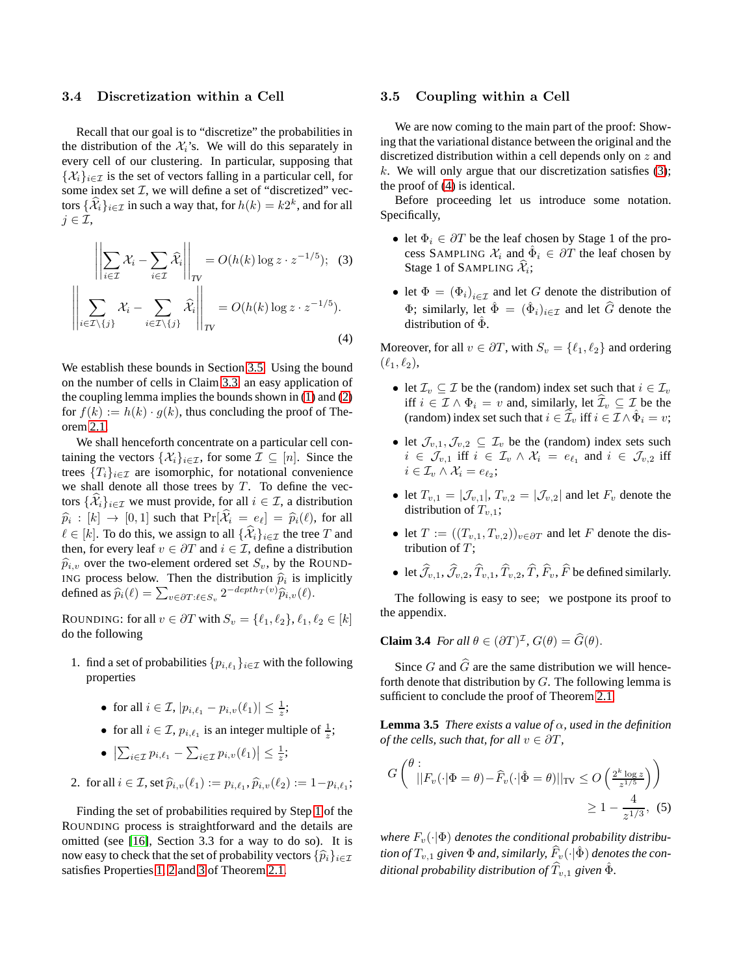## <span id="page-6-0"></span>3.4 Discretization within a Cell

Recall that our goal is to "discretize" the probabilities in the distribution of the  $\mathcal{X}_i$ 's. We will do this separately in every cell of our clustering. In particular, supposing that  $\{\mathcal{X}_i\}_{i\in\mathcal{I}}$  is the set of vectors falling in a particular cell, for some index set  $I$ , we will define a set of "discretized" vectors  $\{\mathcal{X}_i\}_{i\in\mathcal{I}}$  in such a way that, for  $h(k) = k2^k$ , and for all  $j \in \mathcal{I}$ ,

$$
\left\| \sum_{i \in \mathcal{I}} \mathcal{X}_i - \sum_{i \in \mathcal{I}} \widehat{\mathcal{X}}_i \right\|_{TV} = O(h(k) \log z \cdot z^{-1/5}); \quad (3)
$$

$$
\left\| \sum_{i \in \mathcal{I} \setminus \{j\}} \mathcal{X}_i - \sum_{i \in \mathcal{I} \setminus \{j\}} \widehat{\mathcal{X}}_i \right\|_{TV} = O(h(k) \log z \cdot z^{-1/5}). \quad (4)
$$

We establish these bounds in Section [3.5.](#page-6-1) Using the bound on the number of cells in Claim [3.3,](#page-5-5) an easy application of the coupling lemma implies the bounds shown in [\(1\)](#page-2-3) and [\(2\)](#page-2-4) for  $f(k) := h(k) \cdot g(k)$ , thus concluding the proof of Theorem [2.1.](#page-2-0)

We shall henceforth concentrate on a particular cell containing the vectors  $\{\mathcal{X}_i\}_{i\in\mathcal{I}}$ , for some  $\mathcal{I} \subseteq [n]$ . Since the trees  $\{T_i\}_{i\in\mathcal{I}}$  are isomorphic, for notational convenience we shall denote all those trees by  $T$ . To define the vectors  $\{\widehat{\mathcal{X}}_i\}_{i\in\mathcal{I}}$  we must provide, for all  $i\in\mathcal{I}$ , a distribution  $\widehat{p}_i : [k] \to [0, 1]$  such that  $\Pr[\mathcal{X}_i = e_\ell] = \widehat{p}_i(\ell)$ , for all  $\ell \in [k]$ . To do this, we assign to all  $\{\widehat{\mathcal{X}}_i\}_{i \in \mathcal{I}}$  the tree T and then, for every leaf  $v \in \partial T$  and  $i \in \mathcal{I}$ , define a distribution  $\widehat{p}_{i,v}$  over the two-element ordered set  $S_v$ , by the ROUND-ING process below. Then the distribution  $\hat{p}_i$  is implicitly defined as  $\widehat{p}_i(\ell) = \sum_{v \in \partial T: \ell \in S_v} 2^{-depth_T(v)} \widehat{p}_{i,v}(\ell).$ 

ROUNDING: for all  $v \in \partial T$  with  $S_v = \{\ell_1, \ell_2\}, \ell_1, \ell_2 \in [k]$ do the following

- <span id="page-6-2"></span>1. find a set of probabilities  $\{p_{i,\ell_1}\}_{i\in\mathcal{I}}$  with the following properties
	- for all  $i \in \mathcal{I}, |p_{i,\ell_1} p_{i,\nu}(\ell_1)| \leq \frac{1}{z};$
	- for all  $i \in \mathcal{I}$ ,  $p_{i,\ell_1}$  is an integer multiple of  $\frac{1}{z}$ ;
	- $\left| \sum_{i \in \mathcal{I}} p_{i,\ell_1} \sum_{i \in \mathcal{I}} p_{i,v}(\ell_1) \right| \leq \frac{1}{z};$
- 2. for all  $i \in \mathcal{I}$ , set  $\widehat{p}_{i,v}(\ell_1) := p_{i,\ell_1}, \widehat{p}_{i,v}(\ell_2) := 1 p_{i,\ell_1};$

Finding the set of probabilities required by Step [1](#page-6-2) of the ROUNDING process is straightforward and the details are omitted (see [\[16\]](#page-10-0), Section 3.3 for a way to do so). It is now easy to check that the set of probability vectors  $\{\widehat{p}_i\}_{i\in\mathcal{I}}$ satisfies Properties [1,](#page-2-5) [2](#page-2-2) and [3](#page-2-6) of Theorem [2.1.](#page-2-0)

#### <span id="page-6-1"></span>3.5 Coupling within a Cell

We are now coming to the main part of the proof: Showing that the variational distance between the original and the discretized distribution within a cell depends only on z and k. We will only argue that our discretization satisfies  $(3)$ ; the proof of [\(4\)](#page-6-4) is identical.

Before proceeding let us introduce some notation. Specifically,

- <span id="page-6-3"></span>• let  $\Phi_i \in \partial T$  be the leaf chosen by Stage 1 of the process SAMPLING  $\mathcal{X}_i$  and  $\hat{\Phi}_i \in \partial T$  the leaf chosen by Stage 1 of SAMPLING  $\mathcal{X}_i$ ;
- let  $\Phi = (\Phi_i)_{i \in \mathcal{I}}$  and let G denote the distribution of  $\Phi$ ; similarly, let  $\hat{\Phi} = (\hat{\Phi}_i)_{i \in \mathcal{I}}$  and let  $\hat{G}$  denote the distribution of  $\hat{\Phi}$ .

<span id="page-6-4"></span>Moreover, for all  $v \in \partial T$ , with  $S_v = \{\ell_1, \ell_2\}$  and ordering  $(\ell_1, \ell_2),$ 

- let  $\mathcal{I}_v \subseteq \mathcal{I}$  be the (random) index set such that  $i \in \mathcal{I}_v$ iff  $i \in \mathcal{I} \wedge \Phi_i = v$  and, similarly, let  $\widehat{\mathcal{I}}_v \subseteq \mathcal{I}$  be the (random) index set such that  $i \in \widehat{\mathcal{I}}_v$  iff  $i \in \mathcal{I} \wedge \hat{\Phi}_i = v$ ;
- let  $\mathcal{J}_{v,1},\mathcal{J}_{v,2}\subseteq \mathcal{I}_v$  be the (random) index sets such  $i \in \mathcal{J}_{v,1}$  iff  $i \in \mathcal{I}_v \wedge \mathcal{X}_i = e_{\ell_1}$  and  $i \in \mathcal{J}_{v,2}$  iff  $i \in \mathcal{I}_v \wedge \mathcal{X}_i = e_{\ell_2};$
- let  $T_{v,1} = |\mathcal{J}_{v,1}|$ ,  $T_{v,2} = |\mathcal{J}_{v,2}|$  and let  $F_v$  denote the distribution of  $T_{n,1}$ ;
- let  $T := ((T_{v,1}, T_{v,2}))_{v \in \partial T}$  and let F denote the distribution of  $T$ :
- let  $\hat{\mathcal{J}}_{v,1}, \hat{\mathcal{J}}_{v,2}, \hat{T}_{v,1}, \hat{T}_{v,2}, \hat{T}, \hat{F}_v, \hat{F}$  be defined similarly.

<span id="page-6-7"></span>The following is easy to see; we postpone its proof to the appendix.

**Claim 3.4** *For all*  $\theta \in (\partial T)^{\mathcal{I}}$ ,  $G(\theta) = G(\theta)$ .

Since G and  $\widehat{G}$  are the same distribution we will henceforth denote that distribution by  $G$ . The following lemma is sufficient to conclude the proof of Theorem [2.1.](#page-2-0)

<span id="page-6-5"></span>**Lemma 3.5** *There exists a value of* α*, used in the definition of the cells, such that, for all*  $v \in \partial T$ *,* 

<span id="page-6-6"></span>
$$
G\left(\begin{array}{c} \theta : \\ ||F_v(\cdot|\Phi=\theta) - \widehat{F}_v(\cdot|\hat{\Phi}=\theta)||_{\text{TV}} \le O\left(\frac{2^k \log z}{z^{1/5}}\right) \end{array}\right) \ge 1 - \frac{4}{z^{1/3}}, \tag{5}
$$

*where*  $F_v(\cdot | \Phi)$  *denotes the conditional probability distribution of*  $T_{v,1}$  *given*  $\Phi$  *and, similarly,*  $F_v(\cdot|\hat{\Phi})$  *denotes the conditional probability distribution of*  $\widehat{T}_{v,1}$  *given*  $\hat{\Phi}$ *.*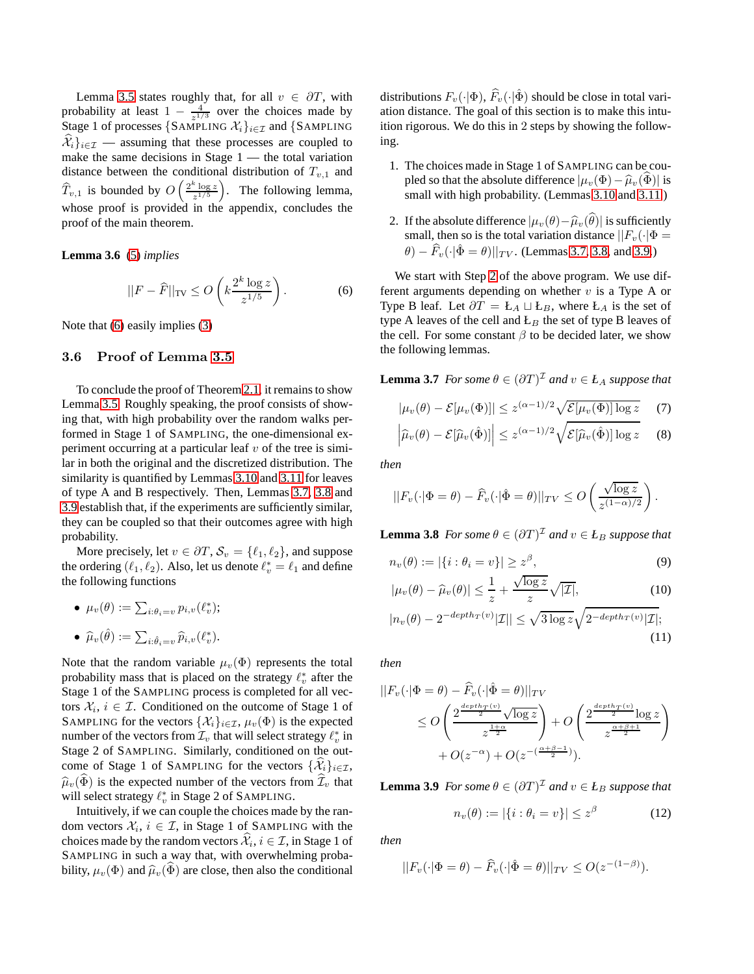Lemma [3.5](#page-6-5) states roughly that, for all  $v \in \partial T$ , with probability at least  $1 - \frac{4}{z^{1/3}}$  over the choices made by Stage 1 of processes {SAMPLING  $\mathcal{X}_i$ }<sub>i∈*I*</sub> and {SAMPLING  $\{\mathcal{X}_i\}_{i\in\mathcal{I}}$  — assuming that these processes are coupled to make the same decisions in Stage  $1$  — the total variation distance between the conditional distribution of  $T_{v,1}$  and  $\widehat{T}_{v,1}$  is bounded by  $O\left(\frac{2^k \log z}{z^{1/5}}\right)$  $\left(\frac{\log z}{z^{1/5}}\right)$ . The following lemma, whose proof is provided in the appendix, concludes the proof of the main theorem.

<span id="page-7-6"></span>**Lemma 3.6** [\(5\)](#page-6-6) *implies*

$$
||F - \widehat{F}||_{\text{TV}} \le O\left(k \frac{2^k \log z}{z^{1/5}}\right). \tag{6}
$$

Note that [\(6\)](#page-7-1) easily implies [\(3\)](#page-6-3)

## <span id="page-7-0"></span>3.6 Proof of Lemma [3.5](#page-6-5)

To conclude the proof of Theorem [2.1,](#page-2-0) it remains to show Lemma [3.5.](#page-6-5) Roughly speaking, the proof consists of showing that, with high probability over the random walks performed in Stage 1 of SAMPLING, the one-dimensional experiment occurring at a particular leaf  $v$  of the tree is similar in both the original and the discretized distribution. The similarity is quantified by Lemmas [3.10](#page-8-3) and [3.11](#page-8-4) for leaves of type A and B respectively. Then, Lemmas [3.7,](#page-7-2) [3.8](#page-7-3) and [3.9](#page-7-4) establish that, if the experiments are sufficiently similar, they can be coupled so that their outcomes agree with high probability.

More precisely, let  $v \in \partial T$ ,  $S_v = \{\ell_1, \ell_2\}$ , and suppose the ordering  $(\ell_1, \ell_2)$ . Also, let us denote  $\ell_v^* = \ell_1$  and define the following functions

• 
$$
\mu_v(\theta) := \sum_{i:\theta_i=v} p_{i,v}(\ell_v^*);
$$

\n- \n
$$
\widehat{\mu}_v(\widehat{\theta}) := \sum_{i:\widehat{\theta}_i=v} \widehat{p}_{i,v}(\ell_v^*).
$$
\n
\n- \n Note that the random variable  $\mu_v(\Phi)$  represents the total probability mass that is placed on the strategy  $\ell_v^*$  after the Stage 1 of the SAMPLING process is completed for all vectors  $\mathcal{X}_i, i \in \mathcal{I}$ . Conditional on the outcome of Stage 1 of SAMPLING for the vectors  $\{\mathcal{X}_i\}_{i\in\mathcal{I}}, \mu_v(\Phi)$  is the expected number of the vectors from  $\mathcal{I}_v$  that will select strategy  $\ell_v^*$  in Stage 2 of SAMPLING. Similarly, conditioned on the outcome of Stage 1 of SAMPLING for the vectors  $\{\widehat{\mathcal{X}}_i\}_{i\in\mathcal{I}}, \widehat{\mu}_v(\widehat{\Phi})$  is the expected number of the vectors from  $\widehat{\mathcal{I}}_v$  that will select strategy  $\ell_v^*$  in Stage 2 of SAMPLING.\n
\n

Intuitively, if we can couple the choices made by the random vectors  $\mathcal{X}_i, i \in \mathcal{I}$ , in Stage 1 of SAMPLING with the choices made by the random vectors  $\mathcal{X}_i, i \in \mathcal{I}$ , in Stage 1 of SAMPLING in such a way that, with overwhelming probability,  $\mu_v(\Phi)$  and  $\hat{\mu}_v(\Phi)$  are close, then also the conditional distributions  $F_v(\cdot|\Phi)$ ,  $\widehat{F}_v(\cdot|\hat{\Phi})$  should be close in total variation distance. The goal of this section is to make this intuition rigorous. We do this in 2 steps by showing the following.

- 1. The choices made in Stage 1 of SAMPLING can be coupled so that the absolute difference  $|\mu_v(\Phi) - \hat{\mu}_v(\Phi)|$  is small with high probability. (Lemmas [3.10](#page-8-3) and [3.11.](#page-8-4))
- <span id="page-7-5"></span>2. If the absolute difference  $|\mu_v(\theta)-\hat{\mu}_v(\hat{\theta})|$  is sufficiently small, then so is the total variation distance  $||F_v(\cdot|\Phi =$  $\hat{\theta}$ ) –  $\widehat{F}_v(\cdot|\hat{\Phi} = \theta) ||_{TV}$ . (Lemmas [3.7,](#page-7-2) [3.8,](#page-7-3) and [3.9.](#page-7-4))

<span id="page-7-1"></span>We start with Step [2](#page-7-5) of the above program. We use different arguments depending on whether  $v$  is a Type A or Type B leaf. Let  $\partial T = \mathbf{L}_A \sqcup \mathbf{L}_B$ , where  $\mathbf{L}_A$  is the set of type A leaves of the cell and  $E_B$  the set of type B leaves of the cell. For some constant  $\beta$  to be decided later, we show the following lemmas.

<span id="page-7-2"></span>**Lemma 3.7** *For some*  $\theta \in (\partial T)^{\mathcal{I}}$  *and*  $v \in L_A$  *suppose that* 

<span id="page-7-8"></span><span id="page-7-7"></span>
$$
|\mu_v(\theta) - \mathcal{E}[\mu_v(\Phi)]| \le z^{(\alpha - 1)/2} \sqrt{\mathcal{E}[\mu_v(\Phi)] \log z}
$$
 (7)

$$
\left|\widehat{\mu}_v(\theta) - \mathcal{E}[\widehat{\mu}_v(\hat{\Phi})]\right| \le z^{(\alpha - 1)/2} \sqrt{\mathcal{E}[\widehat{\mu}_v(\hat{\Phi})]\log z}
$$
 (8)

*then*

$$
||F_v(\cdot|\Phi=\theta)-\widehat{F}_v(\cdot|\hat{\Phi}=\theta)||_{TV}\leq O\left(\frac{\sqrt{\log z}}{z^{(1-\alpha)/2}}\right).
$$

<span id="page-7-3"></span>**Lemma 3.8** *For some*  $\theta \in (\partial T)^{\mathcal{I}}$  *and*  $v \in L_B$  *suppose that* 

$$
n_v(\theta) := |\{i : \theta_i = v\}| \ge z^{\beta},
$$
\n
$$
\frac{1}{\sqrt{\log z}} \quad \text{(9)}
$$

$$
|\mu_v(\theta) - \widehat{\mu}_v(\theta)| \le \frac{1}{z} + \frac{\sqrt{\log z}}{z} \sqrt{|\mathcal{I}|},\tag{10}
$$

<span id="page-7-9"></span>
$$
|n_v(\theta) - 2^{-depth_T(v)}|\mathcal{I}|| \le \sqrt{3\log z} \sqrt{2^{-depth_T(v)}|\mathcal{I}|};\tag{11}
$$

*then*

in

$$
||F_v(\cdot|\Phi = \theta) - \widehat{F}_v(\cdot|\hat{\Phi} = \theta)||_{TV}
$$
  
\n
$$
\leq O\left(\frac{2^{\frac{depth_T(v)}{2}}\sqrt{\log z}}{z^{\frac{1+\alpha}{2}}}\right) + O\left(\frac{2^{\frac{depth_T(v)}{2}}\log z}{z^{\frac{\alpha+\beta+1}{2}}}\right)
$$
  
\n
$$
+ O(z^{-\alpha}) + O(z^{-\left(\frac{\alpha+\beta-1}{2}\right)}).
$$

<span id="page-7-4"></span>**Lemma 3.9** *For some*  $\theta \in (\partial T)^{\mathcal{I}}$  *and*  $v \in L_B$  *suppose that* 

$$
n_v(\theta) := |\{i : \theta_i = v\}| \le z^{\beta} \tag{12}
$$

*then*

$$
||F_v(\cdot|\Phi=\theta)-\widehat{F}_v(\cdot|\hat{\Phi}=\theta)||_{TV}\leq O(z^{-(1-\beta)}).
$$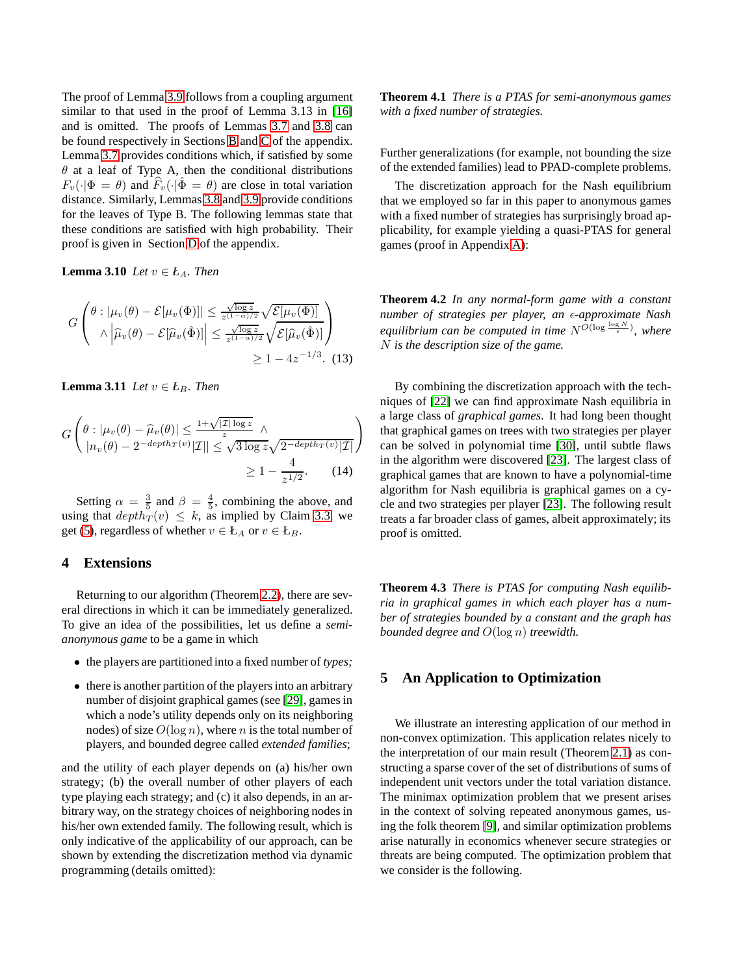The proof of Lemma [3.9](#page-7-4) follows from a coupling argument similar to that used in the proof of Lemma 3.13 in [\[16\]](#page-10-0) and is omitted. The proofs of Lemmas [3.7](#page-7-2) and [3.8](#page-7-3) can be found respectively in Sections [B](#page-14-0) and [C](#page-17-0) of the appendix. Lemma [3.7](#page-7-2) provides conditions which, if satisfied by some  $\theta$  at a leaf of Type A, then the conditional distributions  $F_v(\cdot|\Phi = \theta)$  and  $F_v(\cdot|\Phi = \theta)$  are close in total variation distance. Similarly, Lemmas [3.8](#page-7-3) and [3.9](#page-7-4) provide conditions for the leaves of Type B. The following lemmas state that these conditions are satisfied with high probability. Their proof is given in Section [D](#page-20-0) of the appendix.

<span id="page-8-3"></span>**Lemma 3.10** *Let*  $v \in L_A$ *. Then* 

$$
G\left(\begin{matrix}\n\theta : |\mu_v(\theta) - \mathcal{E}[\mu_v(\Phi)]| \le \frac{\sqrt{\log z}}{z^{(1-\alpha)/2}} \sqrt{\mathcal{E}[\mu_v(\Phi)]} \\
\wedge |\widehat{\mu}_v(\theta) - \mathcal{E}[\widehat{\mu}_v(\hat{\Phi})]| \le \frac{\sqrt{\log z}}{z^{(1-\alpha)/2}} \sqrt{\mathcal{E}[\widehat{\mu}_v(\hat{\Phi})]}\n\end{matrix}\right) \ge 1 - 4z^{-1/3}.
$$
\n(13)

<span id="page-8-4"></span>**Lemma 3.11** *Let*  $v \in L_B$ *. Then* 

$$
G\left(\theta : |\mu_v(\theta) - \widehat{\mu}_v(\theta)| \le \frac{1 + \sqrt{|\mathcal{I}| \log z}}{z} \wedge \frac{|\mu_v(\theta) - 2^{-depth_T(v)}|\mathcal{I}|}{|\mathcal{I}|} \le \sqrt{3 \log z} \sqrt{2^{-depth_T(v)}|\mathcal{I}|} \right)
$$
  
 
$$
\ge 1 - \frac{4}{z^{1/2}}.
$$
 (14)

Setting  $\alpha = \frac{3}{5}$  and  $\beta = \frac{4}{5}$ , combining the above, and using that  $depth_T (v) \leq k$ , as implied by Claim [3.3,](#page-5-5) we get [\(5\)](#page-6-6), regardless of whether  $v \in L_A$  or  $v \in L_B$ .

## <span id="page-8-2"></span>**4 Extensions**

Returning to our algorithm (Theorem [2.2\)](#page-3-0), there are several directions in which it can be immediately generalized. To give an idea of the possibilities, let us define a *semianonymous game* to be a game in which

- the players are partitioned into a fixed number of *types;*
- there is another partition of the players into an arbitrary number of disjoint graphical games (see [\[29\]](#page-10-15), games in which a node's utility depends only on its neighboring nodes) of size  $O(\log n)$ , where n is the total number of players, and bounded degree called *extended families*;

and the utility of each player depends on (a) his/her own strategy; (b) the overall number of other players of each type playing each strategy; and (c) it also depends, in an arbitrary way, on the strategy choices of neighboring nodes in his/her own extended family. The following result, which is only indicative of the applicability of our approach, can be shown by extending the discretization method via dynamic programming (details omitted):

**Theorem 4.1** *There is a PTAS for semi-anonymous games with a fixed number of strategies.*

Further generalizations (for example, not bounding the size of the extended families) lead to PPAD-complete problems.

The discretization approach for the Nash equilibrium that we employed so far in this paper to anonymous games with a fixed number of strategies has surprisingly broad applicability, for example yielding a quasi-PTAS for general games (proof in Appendix [A\)](#page-11-0):

<span id="page-8-0"></span>**Theorem 4.2** *In any normal-form game with a constant number of strategies per player, an €-approximate Nash equilibrium can be computed in time*  $N^{O(\log \frac{\log N}{\epsilon})}$ , where N *is the description size of the game.*

By combining the discretization approach with the techniques of [22] we can find approximate Nash equilibria in a large class of *graphical games*. It had long been thought that graphical games on trees with two strategies per player can be solved in polynomial time [30], until subtle flaws in the algorithm were discovered [\[23\]](#page-10-16). The largest class of graphical games that are known to have a polynomial-time algorithm for Nash equilibria is graphical games on a cycle and two strategies per player [\[23\]](#page-10-16). The following result treats a far broader class of games, albeit approximately; its proof is omitted.

**Theorem 4.3** *There is PTAS for computing Nash equilibria in graphical games in which each player has a number of strategies bounded by a constant and the graph has bounded degree and* O(log n) *treewidth.*

# <span id="page-8-1"></span>**5 An Application to Optimization**

We illustrate an interesting application of our method in non-convex optimization. This application relates nicely to the interpretation of our main result (Theorem [2.1\)](#page-2-0) as constructing a sparse cover of the set of distributions of sums of independent unit vectors under the total variation distance. The minimax optimization problem that we present arises in the context of solving repeated anonymous games, using the folk theorem [\[9\]](#page-9-8), and similar optimization problems arise naturally in economics whenever secure strategies or threats are being computed. The optimization problem that we consider is the following.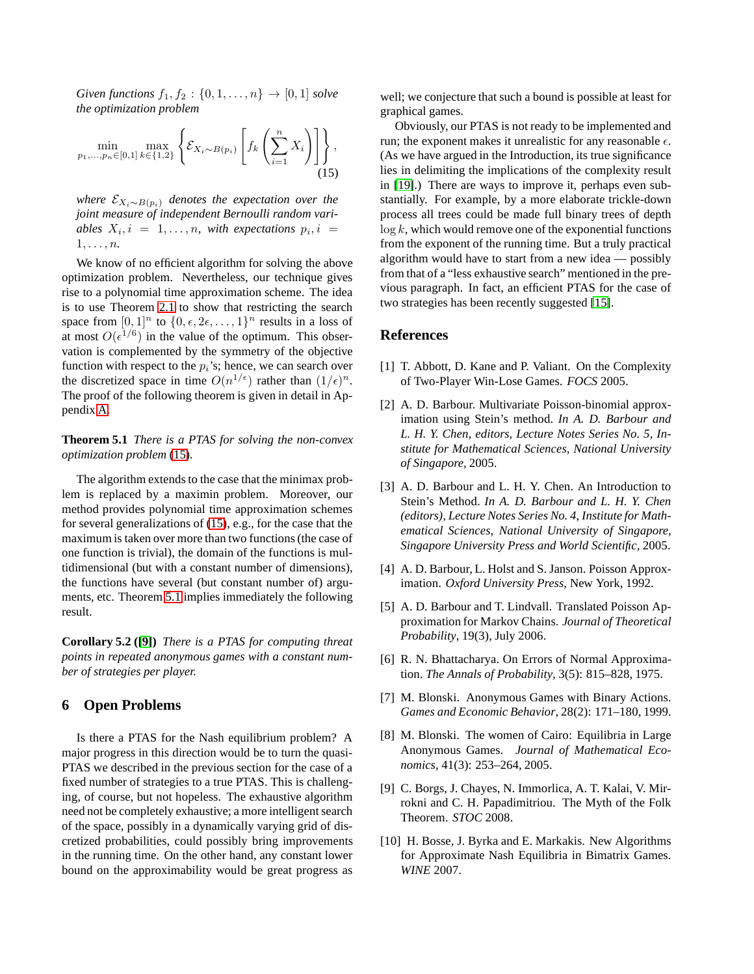*Given functions*  $f_1, f_2 : \{0, 1, ..., n\} \to [0, 1]$  *solve the optimization problem*

$$
\min_{p_1, \dots, p_n \in [0,1]} \max_{k \in \{1,2\}} \left\{ \mathcal{E}_{X_i \sim B(p_i)} \left[ f_k \left( \sum_{i=1}^n X_i \right) \right] \right\},\tag{15}
$$

*where*  $\mathcal{E}_{X_i \sim B(p_i)}$  *denotes the expectation over the joint measure of independent Bernoulli random vari*ables  $X_i$ ,  $i = 1, ..., n$ , with expectations  $p_i$ ,  $i =$  $1, \ldots, n$ .

We know of no efficient algorithm for solving the above optimization problem. Nevertheless, our technique gives rise to a polynomial time approximation scheme. The idea is to use Theorem [2.1](#page-2-0) to show that restricting the search space from  $[0,1]^n$  to  $\{0,\epsilon,2\epsilon,\ldots,1\}^n$  results in a loss of at most  $O(\epsilon^{1/6})$  in the value of the optimum. This observation is complemented by the symmetry of the objective function with respect to the  $p_i$ 's; hence, we can search over the discretized space in time  $O(n^{1/\epsilon})$  rather than  $(1/\epsilon)^n$ . The proof of the following theorem is given in detail in Appendix [A.](#page-11-0)

<span id="page-9-10"></span>**Theorem 5.1** *There is a PTAS for solving the non-convex optimization problem* [\(15\)](#page-9-9)*.*

The algorithm extends to the case that the minimax problem is replaced by a maximin problem. Moreover, our method provides polynomial time approximation schemes for several generalizations of [\(15\)](#page-9-9), e.g., for the case that the maximum is taken over more than two functions (the case of one function is trivial), the domain of the functions is multidimensional (but with a constant number of dimensions), the functions have several (but constant number of) arguments, etc. Theorem [5.1](#page-9-10) implies immediately the following result.

**Corollary 5.2 ([\[9\]](#page-9-8))** *There is a PTAS for computing threat points in repeated anonymous games with a constant number of strategies per player.*

# **6 Open Problems**

Is there a PTAS for the Nash equilibrium problem? A major progress in this direction would be to turn the quasi-PTAS we described in the previous section for the case of a fixed number of strategies to a true PTAS. This is challenging, of course, but not hopeless. The exhaustive algorithm need not be completely exhaustive; a more intelligent search of the space, possibly in a dynamically varying grid of discretized probabilities, could possibly bring improvements in the running time. On the other hand, any constant lower bound on the approximability would be great progress as

well; we conjecture that such a bound is possible at least for graphical games.

<span id="page-9-9"></span>Obviously, our PTAS is not ready to be implemented and run; the exponent makes it unrealistic for any reasonable  $\epsilon$ . (As we have argued in the Introduction, its true significance lies in delimiting the implications of the complexity result in [\[19\]](#page-10-1).) There are ways to improve it, perhaps even substantially. For example, by a more elaborate trickle-down process all trees could be made full binary trees of depth  $\log k$ , which would remove one of the exponential functions from the exponent of the running time. But a truly practical algorithm would have to start from a new idea — possibly from that of a "less exhaustive search" mentioned in the previous paragraph. In fact, an efficient PTAS for the case of two strategies has been recently suggested [\[15\]](#page-10-14).

#### <span id="page-9-0"></span>**References**

- [1] T. Abbott, D. Kane and P. Valiant. On the Complexity of Two-Player Win-Lose Games. *FOCS* 2005.
- <span id="page-9-5"></span>[2] A. D. Barbour. Multivariate Poisson-binomial approximation using Stein's method. *In A. D. Barbour and L. H. Y. Chen, editors, Lecture Notes Series No. 5, Institute for Mathematical Sciences, National University of Singapore,* 2005.
- <span id="page-9-6"></span>[3] A. D. Barbour and L. H. Y. Chen. An Introduction to Stein's Method. *In A. D. Barbour and L. H. Y. Chen (editors), Lecture Notes Series No. 4, Institute for Mathematical Sciences, National University of Singapore, Singapore University Press and World Scientific,* 2005.
- <span id="page-9-3"></span>[4] A. D. Barbour, L. Holst and S. Janson. Poisson Approximation. *Oxford University Press,* New York, 1992.
- <span id="page-9-4"></span>[5] A. D. Barbour and T. Lindvall. Translated Poisson Approximation for Markov Chains. *Journal of Theoretical Probability*, 19(3), July 2006.
- <span id="page-9-7"></span>[6] R. N. Bhattacharya. On Errors of Normal Approximation. *The Annals of Probability*, 3(5): 815–828, 1975.
- <span id="page-9-1"></span>[7] M. Blonski. Anonymous Games with Binary Actions. *Games and Economic Behavior*, 28(2): 171–180, 1999.
- <span id="page-9-2"></span>[8] M. Blonski. The women of Cairo: Equilibria in Large Anonymous Games. *Journal of Mathematical Economics,* 41(3): 253–264, 2005.
- <span id="page-9-8"></span>[9] C. Borgs, J. Chayes, N. Immorlica, A. T. Kalai, V. Mirrokni and C. H. Papadimitriou. The Myth of the Folk Theorem. *STOC* 2008.
- [10] H. Bosse, J. Byrka and E. Markakis. New Algorithms for Approximate Nash Equilibria in Bimatrix Games. *WINE* 2007.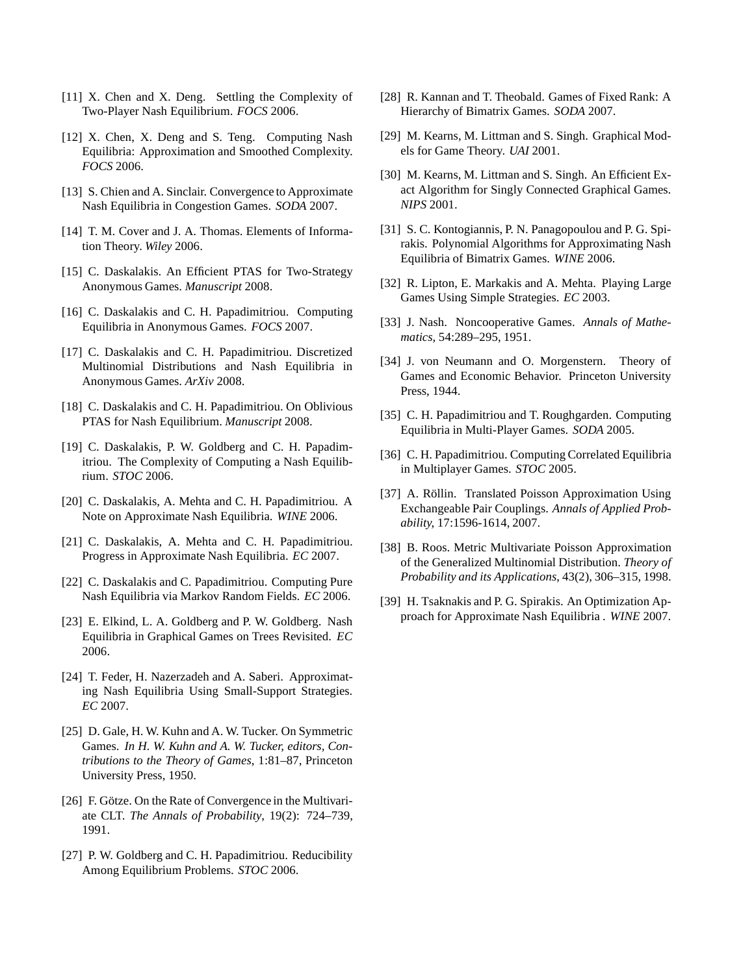- <span id="page-10-12"></span><span id="page-10-2"></span>[11] X. Chen and X. Deng. Settling the Complexity of Two-Player Nash Equilibrium. *FOCS* 2006.
- [12] X. Chen, X. Deng and S. Teng. Computing Nash Equilibria: Approximation and Smoothed Complexity. *FOCS* 2006.
- <span id="page-10-20"></span>[13] S. Chien and A. Sinclair. Convergence to Approximate Nash Equilibria in Congestion Games. *SODA* 2007.
- [14] T. M. Cover and J. A. Thomas. Elements of Information Theory. *Wiley* 2006.
- <span id="page-10-14"></span><span id="page-10-0"></span>[15] C. Daskalakis. An Efficient PTAS for Two-Strategy Anonymous Games. *Manuscript* 2008.
- [16] C. Daskalakis and C. H. Papadimitriou. Computing Equilibria in Anonymous Games. *FOCS* 2007.
- [17] C. Daskalakis and C. H. Papadimitriou. Discretized Multinomial Distributions and Nash Equilibria in Anonymous Games. *ArXiv* 2008.
- <span id="page-10-6"></span>[18] C. Daskalakis and C. H. Papadimitriou. On Oblivious PTAS for Nash Equilibrium. *Manuscript* 2008.
- <span id="page-10-1"></span>[19] C. Daskalakis, P. W. Goldberg and C. H. Papadimitriou. The Complexity of Computing a Nash Equilibrium. *STOC* 2006.
- <span id="page-10-9"></span>[20] C. Daskalakis, A. Mehta and C. H. Papadimitriou. A Note on Approximate Nash Equilibria. *WINE* 2006.
- <span id="page-10-11"></span>[21] C. Daskalakis, A. Mehta and C. H. Papadimitriou. Progress in Approximate Nash Equilibria. *EC* 2007.
- [22] C. Daskalakis and C. Papadimitriou. Computing Pure Nash Equilibria via Markov Random Fields. *EC* 2006.
- <span id="page-10-16"></span>[23] E. Elkind, L. A. Goldberg and P. W. Goldberg. Nash Equilibria in Graphical Games on Trees Revisited. *EC* 2006.
- <span id="page-10-10"></span>[24] T. Feder, H. Nazerzadeh and A. Saberi. Approximating Nash Equilibria Using Small-Support Strategies. *EC* 2007.
- <span id="page-10-3"></span>[25] D. Gale, H. W. Kuhn and A. W. Tucker. On Symmetric Games. *In H. W. Kuhn and A. W. Tucker, editors, Contributions to the Theory of Games*, 1:81–87, Princeton University Press, 1950.
- <span id="page-10-19"></span>[26] F. Götze. On the Rate of Convergence in the Multivariate CLT. *The Annals of Probability*, 19(2): 724–739, 1991.
- [27] P. W. Goldberg and C. H. Papadimitriou. Reducibility Among Equilibrium Problems. *STOC* 2006.
- <span id="page-10-15"></span><span id="page-10-5"></span>[28] R. Kannan and T. Theobald. Games of Fixed Rank: A Hierarchy of Bimatrix Games. *SODA* 2007.
- [29] M. Kearns, M. Littman and S. Singh. Graphical Models for Game Theory. *UAI* 2001.
- [30] M. Kearns, M. Littman and S. Singh. An Efficient Exact Algorithm for Singly Connected Graphical Games. *NIPS* 2001.
- <span id="page-10-8"></span>[31] S. C. Kontogiannis, P. N. Panagopoulou and P. G. Spirakis. Polynomial Algorithms for Approximating Nash Equilibria of Bimatrix Games. *WINE* 2006.
- <span id="page-10-7"></span>[32] R. Lipton, E. Markakis and A. Mehta. Playing Large Games Using Simple Strategies. *EC* 2003.
- <span id="page-10-4"></span>[33] J. Nash. Noncooperative Games. *Annals of Mathematics*, 54:289–295, 1951.
- [34] J. von Neumann and O. Morgenstern. Theory of Games and Economic Behavior. Princeton University Press, 1944.
- <span id="page-10-13"></span>[35] C. H. Papadimitriou and T. Roughgarden. Computing Equilibria in Multi-Player Games. *SODA* 2005.
- [36] C. H. Papadimitriou. Computing Correlated Equilibria in Multiplayer Games. *STOC* 2005.
- <span id="page-10-17"></span>[37] A. Röllin. Translated Poisson Approximation Using Exchangeable Pair Couplings. *Annals of Applied Probability,* 17:1596-1614, 2007.
- <span id="page-10-18"></span>[38] B. Roos. Metric Multivariate Poisson Approximation of the Generalized Multinomial Distribution. *Theory of Probability and its Applications*, 43(2), 306–315, 1998.
- [39] H. Tsaknakis and P. G. Spirakis. An Optimization Approach for Approximate Nash Equilibria . *WINE* 2007.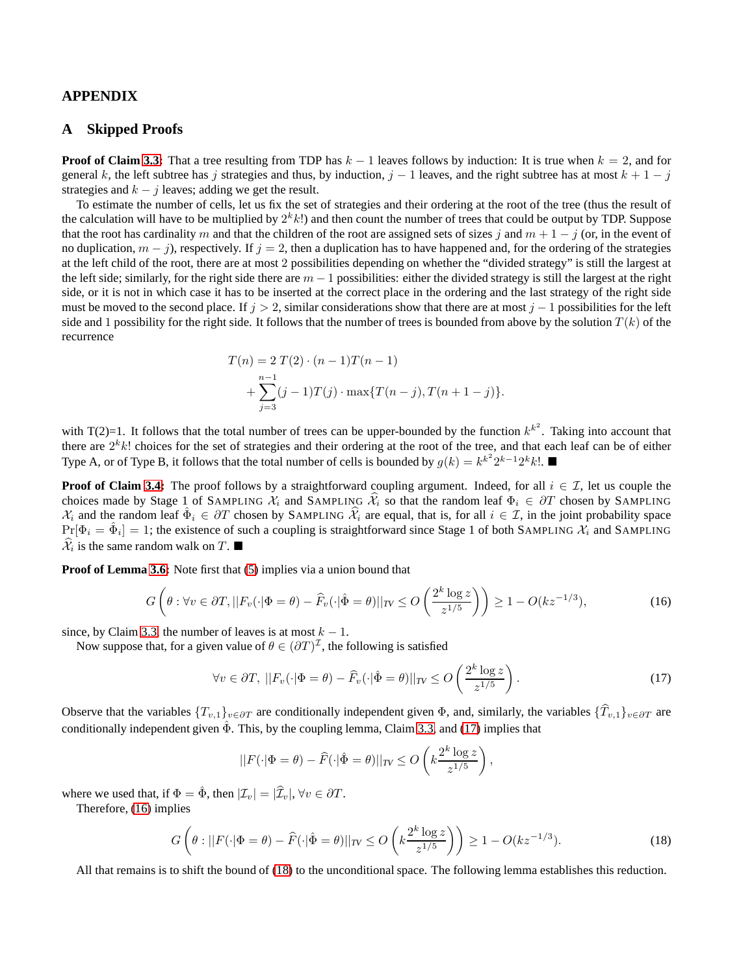# <span id="page-11-0"></span>**APPENDIX**

## **A Skipped Proofs**

**Proof of Claim [3.3:](#page-5-5)** That a tree resulting from TDP has  $k - 1$  leaves follows by induction: It is true when  $k = 2$ , and for general k, the left subtree has j strategies and thus, by induction,  $j - 1$  leaves, and the right subtree has at most  $k + 1 - j$ strategies and  $k - j$  leaves; adding we get the result.

To estimate the number of cells, let us fix the set of strategies and their ordering at the root of the tree (thus the result of the calculation will have to be multiplied by  $2^k k!$ ) and then count the number of trees that could be output by TDP. Suppose that the root has cardinality m and that the children of the root are assigned sets of sizes j and  $m + 1 - j$  (or, in the event of no duplication,  $m - j$ ), respectively. If  $j = 2$ , then a duplication has to have happened and, for the ordering of the strategies at the left child of the root, there are at most 2 possibilities depending on whether the "divided strategy" is still the largest at the left side; similarly, for the right side there are  $m - 1$  possibilities: either the divided strategy is still the largest at the right side, or it is not in which case it has to be inserted at the correct place in the ordering and the last strategy of the right side must be moved to the second place. If  $j > 2$ , similar considerations show that there are at most  $j - 1$  possibilities for the left side and 1 possibility for the right side. It follows that the number of trees is bounded from above by the solution  $T(k)$  of the recurrence

$$
T(n) = 2 T(2) \cdot (n - 1)T(n - 1)
$$
  
+ 
$$
\sum_{j=3}^{n-1} (j - 1)T(j) \cdot \max\{T(n - j), T(n + 1 - j)\}.
$$

with T(2)=1. It follows that the total number of trees can be upper-bounded by the function  $k^{k^2}$ . Taking into account that there are  $2^k k!$  choices for the set of strategies and their ordering at the root of the tree, and that each leaf can be of either Type A, or of Type B, it follows that the total number of cells is bounded by  $g(k) = k^{k^2} 2^{k-1} 2^k k!$ .

**Proof of Claim [3.4:](#page-6-7)** The proof follows by a straightforward coupling argument. Indeed, for all  $i \in \mathcal{I}$ , let us couple the choices made by Stage 1 of SAMPLING  $\mathcal{X}_i$  and SAMPLING  $\hat{\mathcal{X}}_i$  so that the random leaf  $\Phi_i \in \partial T$  chosen by SAMPLING  $\mathcal{X}_i$  and the random leaf  $\hat{\Phi}_i \in \partial T$  chosen by SAMPLING  $\hat{\mathcal{X}}_i$  are equal, that is, for all  $i \in \mathcal{I}$ , in the joint probability space  $Pr[\Phi_i = \hat{\Phi}_i] = 1$ ; the existence of such a coupling is straightforward since Stage 1 of both SAMPLING  $\mathcal{X}_i$  and SAMPLING  $\hat{\mathcal{X}}_i$  is the same random walk on T.

**Proof of Lemma [3.6:](#page-7-6)** Note first that [\(5\)](#page-6-6) implies via a union bound that

$$
G\left(\theta: \forall v \in \partial T, ||F_v(\cdot|\Phi = \theta) - \widehat{F}_v(\cdot|\hat{\Phi} = \theta)||_{TV} \le O\left(\frac{2^k \log z}{z^{1/5}}\right)\right) \ge 1 - O(kz^{-1/3}),\tag{16}
$$

since, by Claim [3.3,](#page-5-5) the number of leaves is at most  $k - 1$ .

Now suppose that, for a given value of  $\theta \in (\partial T)^{\mathcal{I}}$ , the following is satisfied

$$
\forall v \in \partial T, \; ||F_v(\cdot|\Phi = \theta) - \widehat{F}_v(\cdot|\hat{\Phi} = \theta)||_{TV} \le O\left(\frac{2^k \log z}{z^{1/5}}\right). \tag{17}
$$

Observe that the variables  $\{T_{v,1}\}_{v\in\partial T}$  are conditionally independent given  $\Phi$ , and, similarly, the variables  $\{\hat{T}_{v,1}\}_{v\in\partial T}$  are conditionally independent given  $\hat{\Phi}$ . This, by the coupling lemma, Claim [3.3,](#page-5-5) and [\(17\)](#page-11-1) implies that

<span id="page-11-3"></span><span id="page-11-2"></span><span id="page-11-1"></span>
$$
||F(\cdot|\Phi=\theta)-\widehat{F}(\cdot|\hat{\Phi}=\theta)||_{TV} \leq O\left(k\frac{2^k\log z}{z^{1/5}}\right),\,
$$

where we used that, if  $\Phi = \hat{\Phi}$ , then  $|\mathcal{I}_v| = |\hat{\mathcal{I}}_v|$ ,  $\forall v \in \partial \mathcal{T}$ .

Therefore, [\(16\)](#page-11-2) implies

$$
G\left(\theta:||F(\cdot|\Phi=\theta)-\widehat{F}(\cdot|\hat{\Phi}=\theta)||_{TV}\leq O\left(k\frac{2^k\log z}{z^{1/5}}\right)\right)\geq 1-O(kz^{-1/3}).\tag{18}
$$

<span id="page-11-4"></span>All that remains is to shift the bound of [\(18\)](#page-11-3) to the unconditional space. The following lemma establishes this reduction.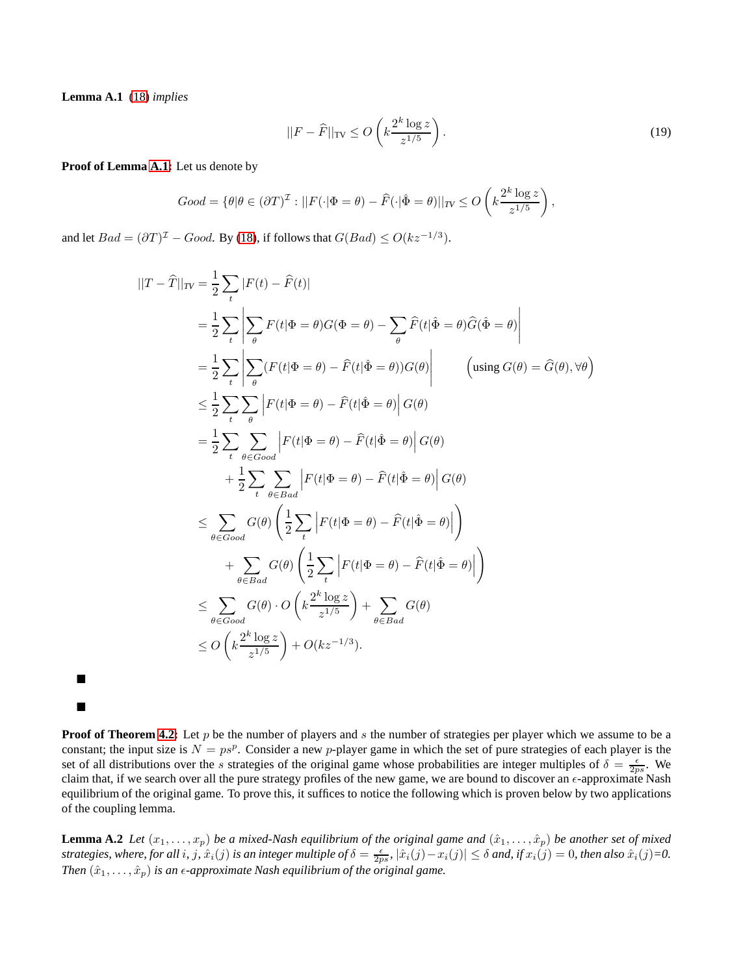**Lemma A.1** [\(18\)](#page-11-3) *implies*

ш

п

$$
||F - \widehat{F}||_{\text{TV}} \le O\left(k \frac{2^k \log z}{z^{1/5}}\right). \tag{19}
$$

#### **Proof of Lemma [A.1:](#page-11-4)** Let us denote by

$$
Good = \{ \theta | \theta \in (\partial T)^{\mathcal{I}} : ||F(\cdot|\Phi = \theta) - \widehat{F}(\cdot|\hat{\Phi} = \theta)||_{TV} \le O\left(k\frac{2^k \log z}{z^{1/5}}\right),\right\}
$$

and let  $Bad = (\partial T)^{\mathcal{I}} - Good$ . By [\(18\)](#page-11-3), if follows that  $G(Bad) \leq O(kz^{-1/3})$ .

$$
||T - \hat{T}||_{TV} = \frac{1}{2} \sum_{t} |F(t) - \hat{F}(t)|
$$
  
\n
$$
= \frac{1}{2} \sum_{t} \left| \sum_{\theta} F(t|\Phi = \theta)G(\Phi = \theta) - \sum_{\theta} \hat{F}(t|\hat{\Phi} = \theta)\hat{G}(\hat{\Phi} = \theta) \right|
$$
  
\n
$$
= \frac{1}{2} \sum_{t} \left| \sum_{\theta} (F(t|\Phi = \theta) - \hat{F}(t|\hat{\Phi} = \theta))G(\theta) \right| \qquad \left(\text{using } G(\theta) = \hat{G}(\theta), \forall \theta\right)
$$
  
\n
$$
\leq \frac{1}{2} \sum_{t} \sum_{\theta} \left| F(t|\Phi = \theta) - \hat{F}(t|\hat{\Phi} = \theta) \right|G(\theta)
$$
  
\n
$$
= \frac{1}{2} \sum_{t} \sum_{\theta \in Good} \left| F(t|\Phi = \theta) - \hat{F}(t|\hat{\Phi} = \theta) \right|G(\theta)
$$
  
\n
$$
+ \frac{1}{2} \sum_{t} \sum_{\theta \in Bad} \left| F(t|\Phi = \theta) - \hat{F}(t|\hat{\Phi} = \theta) \right|G(\theta)
$$
  
\n
$$
\leq \sum_{\theta \in Good} G(\theta) \left( \frac{1}{2} \sum_{t} \left| F(t|\Phi = \theta) - \hat{F}(t|\hat{\Phi} = \theta) \right| \right)
$$
  
\n
$$
+ \sum_{\theta \in Bad} G(\theta) \left( \frac{1}{2} \sum_{t} \left| F(t|\Phi = \theta) - \hat{F}(t|\hat{\Phi} = \theta) \right| \right)
$$
  
\n
$$
\leq \sum_{\theta \in Good} G(\theta) \cdot O \left( k \frac{2^{k} \log z}{z^{1/5}} \right) + \sum_{\theta \in Bad} G(\theta)
$$
  
\n
$$
\leq O \left( k \frac{2^{k} \log z}{z^{1/5}} \right) + O(kz^{-1/3}).
$$

**Proof of Theorem [4.2:](#page-8-0)** Let p be the number of players and s the number of strategies per player which we assume to be a constant; the input size is  $N = ps^p$ . Consider a new p-player game in which the set of pure strategies of each player is the set of all distributions over the s strategies of the original game whose probabilities are integer multiples of  $\delta = \frac{\epsilon}{2ps}$ . We claim that, if we search over all the pure strategy profiles of the new game, we are bound to discover an  $\epsilon$ -approximate Nash equilibrium of the original game. To prove this, it suffices to notice the following which is proven below by two applications of the coupling lemma.

<span id="page-12-0"></span>**Lemma A.2** *Let*  $(x_1, \ldots, x_p)$  *be a mixed-Nash equilibrium of the original game and*  $(\hat{x}_1, \ldots, \hat{x}_p)$  *be another set of mixed*  $s$ trategies, where, for all  $i$ ,  $j$ ,  $\hat{x}_i(j)$  is an integer multiple of  $\delta = \frac{\epsilon}{2ps}$ ,  $|\hat{x}_i(j) - x_i(j)| \le \delta$  and, if  $x_i(j) = 0$ , then also  $\hat{x}_i(j) = 0$ . *Then*  $(\hat{x}_1, \ldots, \hat{x}_p)$  *is an*  $\epsilon$ *-approximate Nash equilibrium of the original game.*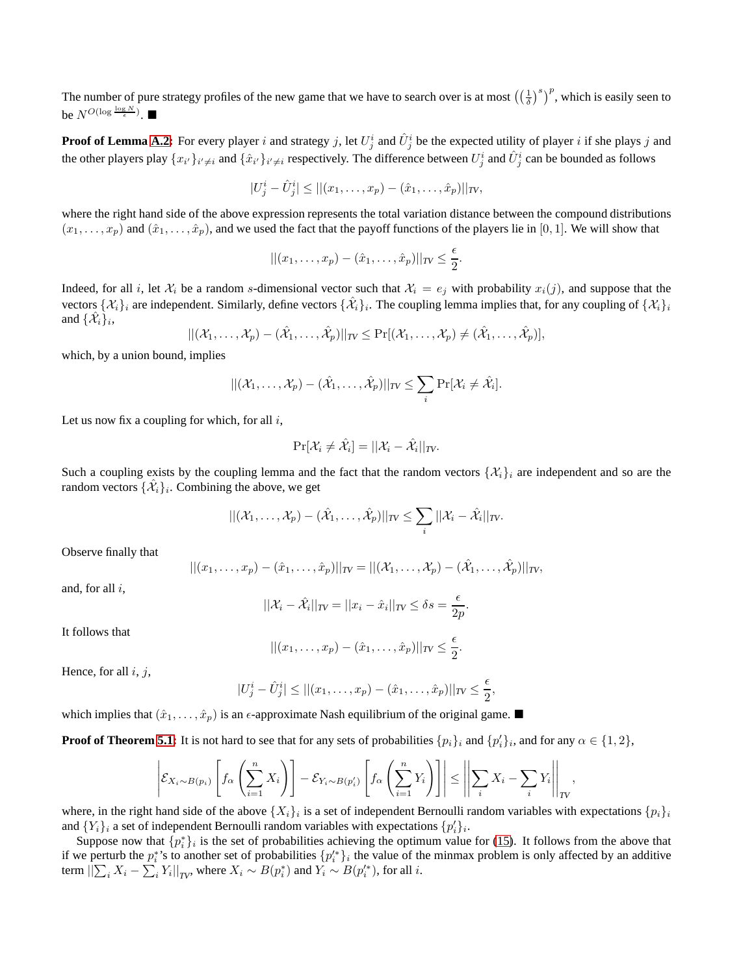The number of pure strategy profiles of the new game that we have to search over is at most  $(\frac{1}{\delta})^s$ , which is easily seen to be  $N^{O(\log \frac{\log N}{\epsilon})}$ .

**Proof of Lemma [A.2:](#page-12-0)** For every player i and strategy j, let  $U_j^i$  and  $\hat{U}_j^i$  be the expected utility of player i if she plays j and the other players play  $\{x_{i'}\}_{i'\neq i}$  and  $\{\hat{x}_{i'}\}_{i'\neq i}$  respectively. The difference between  $U_j^i$  and  $\hat{U}_j^i$  can be bounded as follows

$$
|U_j^i - \hat{U}_j^i| \le ||(x_1, \dots, x_p) - (\hat{x}_1, \dots, \hat{x}_p)||_{TV},
$$

where the right hand side of the above expression represents the total variation distance between the compound distributions  $(x_1, \ldots, x_p)$  and  $(\hat{x}_1, \ldots, \hat{x}_p)$ , and we used the fact that the payoff functions of the players lie in [0, 1]. We will show that

$$
||(x_1,\ldots,x_p)-(\hat{x}_1,\ldots,\hat{x}_p)||_{TV}\leq \frac{\epsilon}{2}.
$$

Indeed, for all i, let  $\mathcal{X}_i$  be a random s-dimensional vector such that  $\mathcal{X}_i = e_j$  with probability  $x_i(j)$ , and suppose that the vectors  $\{\mathcal{X}_i\}_i$  are independent. Similarly, define vectors  $\{\mathcal{X}_i\}_i$ . The coupling lemma implies that, for any coupling of  $\{\mathcal{X}_i\}_i$ and  $\{\hat{\mathcal{X}}_i\}_i$ ,

$$
||(\mathcal{X}_1,\ldots,\mathcal{X}_p) - (\hat{\mathcal{X}}_1,\ldots,\hat{\mathcal{X}}_p)||_{TV} \leq \Pr[(\mathcal{X}_1,\ldots,\mathcal{X}_p) \neq (\hat{\mathcal{X}}_1,\ldots,\hat{\mathcal{X}}_p)],
$$

which, by a union bound, implies

$$
||(\mathcal{X}_1,\ldots,\mathcal{X}_p)-(\hat{\mathcal{X}}_1,\ldots,\hat{\mathcal{X}}_p)||_{TV}\leq \sum_i \Pr[\mathcal{X}_i\neq \hat{\mathcal{X}}_i].
$$

Let us now fix a coupling for which, for all  $i$ ,

$$
\Pr[\mathcal{X}_i \neq \hat{\mathcal{X}}_i] = ||\mathcal{X}_i - \hat{\mathcal{X}}_i||_{TV}.
$$

Such a coupling exists by the coupling lemma and the fact that the random vectors  $\{\mathcal{X}_i\}_i$  are independent and so are the random vectors  $\{\hat{\mathcal{X}}_i\}_i$ . Combining the above, we get

$$
||(\mathcal{X}_1,\ldots,\mathcal{X}_p) - (\hat{\mathcal{X}}_1,\ldots,\hat{\mathcal{X}}_p)||_{TV} \leq \sum_i ||\mathcal{X}_i - \hat{\mathcal{X}}_i||_{TV}.
$$

Observe finally that

$$
||(x_1,\ldots,x_p)-(\hat{x}_1,\ldots,\hat{x}_p)||_{TV}=||(\mathcal{X}_1,\ldots,\mathcal{X}_p)-(\hat{\mathcal{X}}_1,\ldots,\hat{\mathcal{X}}_p)||_{TV},
$$

and, for all  $i$ ,

$$
||\mathcal{X}_i - \hat{\mathcal{X}}_i||_{TV} = ||x_i - \hat{x}_i||_{TV} \le \delta s = \frac{\epsilon}{2p}.
$$

It follows that

$$
||(x_1,\ldots,x_p)-(\hat{x}_1,\ldots,\hat{x}_p)||_{TV}\leq \frac{\epsilon}{2}.
$$

Hence, for all  $i, j$ ,

$$
|U_j^i - \hat{U}_j^i| \le ||(x_1,\ldots,x_p) - (\hat{x}_1,\ldots,\hat{x}_p)||_{TV} \le \frac{\epsilon}{2},
$$

which implies that  $(\hat{x}_1, \ldots, \hat{x}_p)$  is an  $\epsilon$ -approximate Nash equilibrium of the original game.

**Proof of Theorem [5.1:](#page-9-10)** It is not hard to see that for any sets of probabilities  $\{p_i\}_i$  and  $\{p'_i\}_i$ , and for any  $\alpha \in \{1, 2\}$ ,

$$
\left| \mathcal{E}_{X_i \sim B(p_i)} \left[ f_\alpha \left( \sum_{i=1}^n X_i \right) \right] - \mathcal{E}_{Y_i \sim B(p'_i)} \left[ f_\alpha \left( \sum_{i=1}^n Y_i \right) \right] \right| \le \left| \left| \sum_i X_i - \sum_i Y_i \right| \right|_{TV},
$$

where, in the right hand side of the above  $\{X_i\}_i$  is a set of independent Bernoulli random variables with expectations  $\{p_i\}_i$ and  $\{Y_i\}_i$  a set of independent Bernoulli random variables with expectations  $\{p'_i\}_i$ .

Suppose now that  $\{p_i^*\}_i$  is the set of probabilities achieving the optimum value for [\(15\)](#page-9-9). It follows from the above that if we perturb the  $p_i^*$ 's to another set of probabilities  $\{p_i'^*\}_i$  the value of the minmax problem is only affected by an additive term  $||\sum_i X_i - \sum_i Y_i||_{TV}$ , where  $X_i \sim B(p_i^*)$  and  $Y_i \sim B(p_i'^*)$ , for all *i*.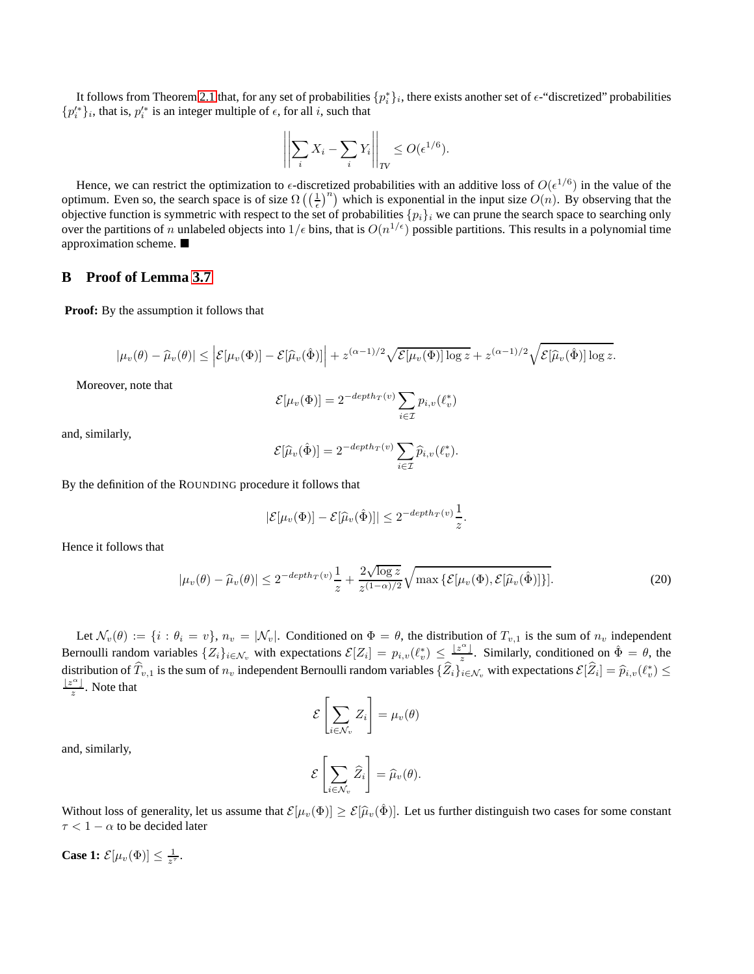It follows from Theorem [2.1](#page-2-0) that, for any set of probabilities  $\{p_i^*\}_i$ , there exists another set of  $\epsilon$ -"discretized" probabilities  $\{p_i^{\prime *}\}_i$ , that is,  $p_i^{\prime *}$  is an integer multiple of  $\epsilon$ , for all  $i$ , such that

$$
\left\| \sum_{i} X_i - \sum_{i} Y_i \right\|_{TV} \le O(\epsilon^{1/6}).
$$

Hence, we can restrict the optimization to  $\epsilon$ -discretized probabilities with an additive loss of  $O(\epsilon^{1/6})$  in the value of the optimum. Even so, the search space is of size  $\Omega\left(\left(\frac{1}{\epsilon}\right)^n\right)$  which is exponential in the input size  $O(n)$ . By observing that the objective function is symmetric with respect to the set of probabilities  $\{p_i\}_i$  we can prune the search space to searching only over the partitions of n unlabeled objects into  $1/\epsilon$  bins, that is  $O(n^{1/\epsilon})$  possible partitions. This results in a polynomial time approximation scheme.

# <span id="page-14-0"></span>**B Proof of Lemma [3.7](#page-7-2)**

**Proof:** By the assumption it follows that

$$
|\mu_v(\theta) - \widehat{\mu}_v(\theta)| \leq \left| \mathcal{E}[\mu_v(\Phi)] - \mathcal{E}[\widehat{\mu}_v(\hat{\Phi})] \right| + z^{(\alpha - 1)/2} \sqrt{\mathcal{E}[\mu_v(\Phi)] \log z} + z^{(\alpha - 1)/2} \sqrt{\mathcal{E}[\widehat{\mu}_v(\hat{\Phi})] \log z}.
$$

Moreover, note that

$$
\mathcal{E}[\mu_v(\Phi)] = 2^{-depth_T(v)} \sum_{i \in \mathcal{I}} p_{i,v}(\ell_v^*)
$$

and, similarly,

$$
\mathcal{E}[\widehat{\mu}_v(\hat{\Phi})] = 2^{-depth_T(v)} \sum_{i \in \mathcal{I}} \widehat{p}_{i,v}(\ell_v^*).
$$

By the definition of the ROUNDING procedure it follows that

$$
|\mathcal{E}[\mu_v(\Phi)] - \mathcal{E}[\widehat{\mu}_v(\hat{\Phi})]| \le 2^{-depth_T(v)}\frac{1}{z}
$$

Hence it follows that

$$
|\mu_v(\theta) - \widehat{\mu}_v(\theta)| \le 2^{-depth_T(v)} \frac{1}{z} + \frac{2\sqrt{\log z}}{z^{(1-\alpha)/2}} \sqrt{\max \{ \mathcal{E}[\mu_v(\Phi), \mathcal{E}[\widehat{\mu}_v(\hat{\Phi})] \}]}.
$$
 (20)

<span id="page-14-1"></span>.

Let  $\mathcal{N}_v(\theta) := \{i : \theta_i = v\}, n_v = |\mathcal{N}_v|$ . Conditioned on  $\Phi = \theta$ , the distribution of  $T_{v,1}$  is the sum of  $n_v$  independent Bernoulli random variables  $\{Z_i\}_{i \in \mathcal{N}_v}$  with expectations  $\mathcal{E}[Z_i] = p_{i,v}(\ell_v^*) \leq \frac{|z^{\alpha}|}{z}$ . Similarly, conditioned on  $\hat{\Phi} = \theta$ , the distribution of  $T_{v,1}$  is the sum of  $n_v$  independent Bernoulli random variables  $\{Z_i\}_{i\in\mathcal{N}_v}$  with expectations  $\mathcal{E}[Z_i] = \widehat{p}_{i,v}(\ell_v^*) \leq$  $\frac{\lfloor z^{\alpha} \rfloor}{z}$ . Note that

$$
\mathcal{E}\left[\sum_{i\in\mathcal{N}_v}Z_i\right]=\mu_v(\theta)
$$

and, similarly,

$$
\mathcal{E}\left[\sum_{i\in\mathcal{N}_v}\widehat{Z}_i\right]=\widehat{\mu}_v(\theta).
$$

Without loss of generality, let us assume that  $\mathcal{E}[\mu_v(\Phi)] \geq \mathcal{E}[\hat{\mu}_v(\hat{\Phi})]$ . Let us further distinguish two cases for some constant  $\tau < 1 - \alpha$  to be decided later

**Case 1:**  $\mathcal{E}[\mu_v(\Phi)] \leq \frac{1}{z^{\tau}}$ .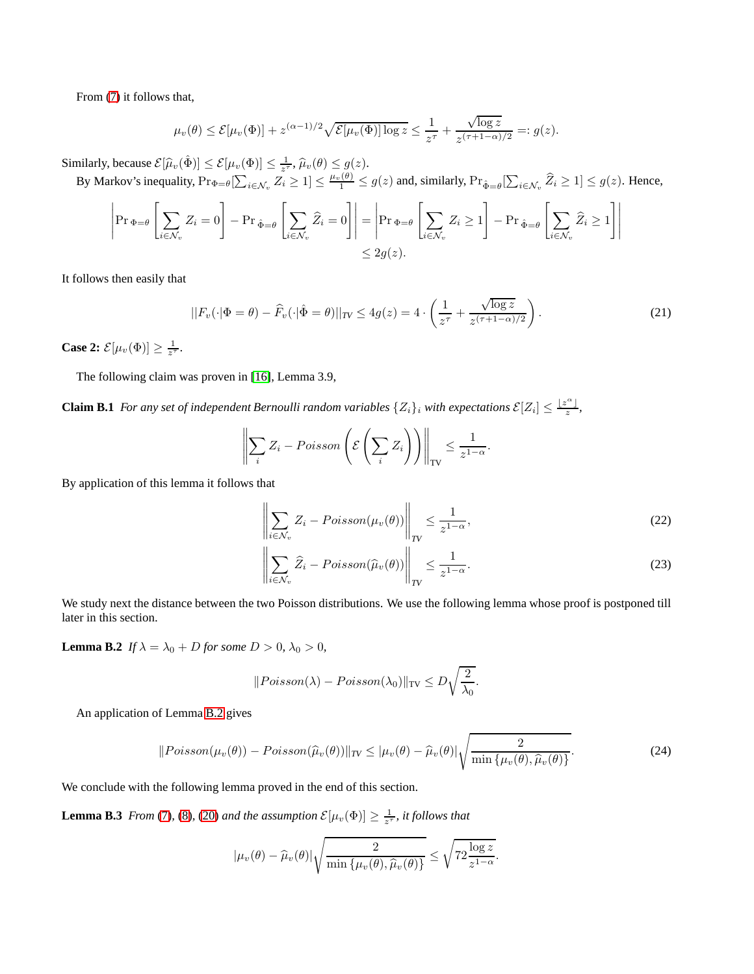From [\(7\)](#page-7-7) it follows that,

$$
\mu_v(\theta) \leq \mathcal{E}[\mu_v(\Phi)] + z^{(\alpha-1)/2} \sqrt{\mathcal{E}[\mu_v(\Phi)] \log z} \leq \frac{1}{z^{\tau}} + \frac{\sqrt{\log z}}{z^{(\tau+1-\alpha)/2}} =: g(z).
$$

Similarly, because  $\mathcal{E}[\hat{\mu}_v(\hat{\Phi})] \leq \mathcal{E}[\mu_v(\Phi)] \leq \frac{1}{z^{\tau}}, \hat{\mu}_v(\theta) \leq g(z).$ 

By Markov's inequality,  $Pr_{\Phi=\theta}[\sum_{i\in\mathcal{N}_v} Z_i \geq 1] \leq \frac{\mu_v(\theta)}{1} \leq g(z)$  and, similarly,  $Pr_{\hat{\Phi}=\theta}[\sum_{i\in\mathcal{N}_v} \hat{Z}_i \geq 1] \leq g(z)$ . Hence,

$$
\left| \Pr_{\Phi = \theta} \left[ \sum_{i \in \mathcal{N}_v} Z_i = 0 \right] - \Pr_{\hat{\Phi} = \theta} \left[ \sum_{i \in \mathcal{N}_v} \hat{Z}_i = 0 \right] \right| = \left| \Pr_{\Phi = \theta} \left[ \sum_{i \in \mathcal{N}_v} Z_i \ge 1 \right] - \Pr_{\hat{\Phi} = \theta} \left[ \sum_{i \in \mathcal{N}_v} \hat{Z}_i \ge 1 \right] \right|
$$
  

$$
\le 2g(z).
$$

It follows then easily that

$$
||F_v(\cdot|\Phi=\theta) - \widehat{F}_v(\cdot|\hat{\Phi}=\theta)||_{TV} \le 4g(z) = 4 \cdot \left(\frac{1}{z^{\tau}} + \frac{\sqrt{\log z}}{z^{(\tau+1-\alpha)/2}}\right). \tag{21}
$$

**Case 2:**  $\mathcal{E}[\mu_v(\Phi)] \geq \frac{1}{z^{\tau}}$ .

The following claim was proven in [\[16\]](#page-10-0), Lemma 3.9,

**Claim B.1** *For any set of independent Bernoulli random variables*  $\{Z_i\}_i$  *with expectations*  $\mathcal{E}[Z_i] \leq \frac{\lfloor z^{\alpha} \rfloor}{z}$ *,* 

<span id="page-15-5"></span>
$$
\left\| \sum_{i} Z_{i} - Poisson\left(\mathcal{E}\left(\sum_{i} Z_{i}\right)\right) \right\|_{\text{TV}} \leq \frac{1}{z^{1-\alpha}}.
$$

By application of this lemma it follows that

<span id="page-15-1"></span>
$$
\left\| \sum_{i \in \mathcal{N}_v} Z_i - Poisson(\mu_v(\theta)) \right\|_{TV} \le \frac{1}{z^{1-\alpha}},\tag{22}
$$

<span id="page-15-2"></span>
$$
\left\| \sum_{i \in \mathcal{N}_v} \widehat{Z}_i - Poisson(\widehat{\mu}_v(\theta)) \right\|_{TV} \le \frac{1}{z^{1-\alpha}}.
$$
\n(23)

<span id="page-15-0"></span>We study next the distance between the two Poisson distributions. We use the following lemma whose proof is postponed till later in this section.

**Lemma B.2** *If*  $\lambda = \lambda_0 + D$  *for some*  $D > 0$ *,*  $\lambda_0 > 0$ *,* 

<span id="page-15-3"></span>
$$
||Poisson(\lambda) - Poisson(\lambda_0)||_{TV} \le D\sqrt{\frac{2}{\lambda_0}}.
$$

An application of Lemma [B.2](#page-15-0) gives

$$
||Poisson(\mu_v(\theta)) - Poisson(\widehat{\mu}_v(\theta))||_{TV} \le |\mu_v(\theta) - \widehat{\mu}_v(\theta)| \sqrt{\frac{2}{\min{\{\mu_v(\theta), \widehat{\mu}_v(\theta)\}}}}. \tag{24}
$$

We conclude with the following lemma proved in the end of this section.

**Lemma B.3** *From* [\(7\)](#page-7-7), [\(8\)](#page-7-8), [\(20\)](#page-14-1) *and the assumption*  $\mathcal{E}[\mu_v(\Phi)] \ge \frac{1}{z^{\tau}}$ , *it follows that* 

<span id="page-15-4"></span>
$$
|\mu_v(\theta) - \widehat{\mu}_v(\theta)| \sqrt{\frac{2}{\min{\{\mu_v(\theta), \widehat{\mu}_v(\theta)\}}}} \leq \sqrt{72 \frac{\log z}{z^{1-\alpha}}}.
$$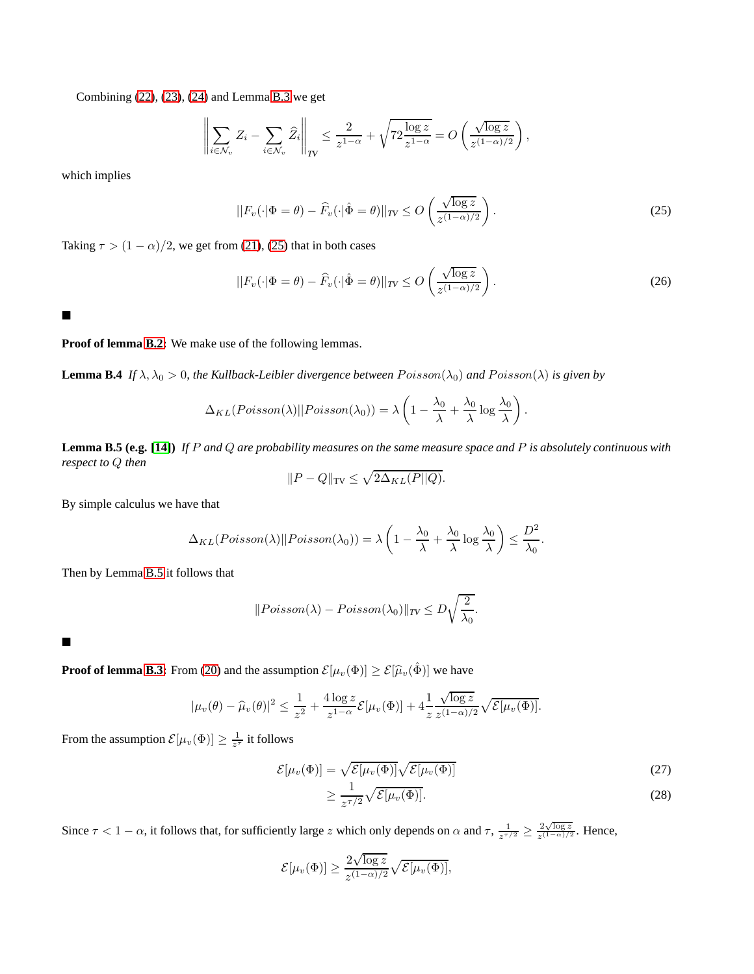Combining [\(22\)](#page-15-1), [\(23\)](#page-15-2), [\(24\)](#page-15-3) and Lemma [B.3](#page-15-4) we get

$$
\left\| \sum_{i \in \mathcal{N}_v} Z_i - \sum_{i \in \mathcal{N}_v} \widehat{Z}_i \right\|_{TV} \le \frac{2}{z^{1-\alpha}} + \sqrt{72 \frac{\log z}{z^{1-\alpha}}} = O\left(\frac{\sqrt{\log z}}{z^{(1-\alpha)/2}}\right),
$$

which implies

$$
||F_v(\cdot|\Phi=\theta) - \widehat{F}_v(\cdot|\hat{\Phi}=\theta)||_{TV} \le O\left(\frac{\sqrt{\log z}}{z^{(1-\alpha)/2}}\right).
$$
\n(25)

Taking  $\tau > (1 - \alpha)/2$ , we get from [\(21\)](#page-15-5), [\(25\)](#page-16-0) that in both cases

$$
||F_v(\cdot|\Phi=\theta) - \widehat{F}_v(\cdot|\hat{\Phi}=\theta)||_{TV} \le O\left(\frac{\sqrt{\log z}}{z^{(1-\alpha)/2}}\right).
$$
 (26)

<span id="page-16-0"></span>.

 $\blacksquare$ 

#### **Proof of lemma [B.2:](#page-15-0)** We make use of the following lemmas.

**Lemma B.4** *If*  $\lambda$ ,  $\lambda_0 > 0$ , the Kullback-Leibler divergence between  $Poisson(\lambda_0)$  and  $Poisson(\lambda)$  is given by

$$
\Delta_{KL}(Poisson(\lambda)||Poisson(\lambda_0)) = \lambda \left(1 - \frac{\lambda_0}{\lambda} + \frac{\lambda_0}{\lambda} \log \frac{\lambda_0}{\lambda}\right)
$$

<span id="page-16-1"></span>**Lemma B.5 (e.g. [\[14\]](#page-10-20))** *If* P *and* Q *are probability measures on the same measure space and* P *is absolutely continuous with respect to* Q *then*

$$
||P - Q||_{\text{TV}} \le \sqrt{2\Delta_{KL}(P||Q)}.
$$

By simple calculus we have that

$$
\Delta_{KL}(Poisson(\lambda)||Poisson(\lambda_0)) = \lambda \left(1 - \frac{\lambda_0}{\lambda} + \frac{\lambda_0}{\lambda} \log \frac{\lambda_0}{\lambda}\right) \le \frac{D^2}{\lambda_0}.
$$

Then by Lemma [B.5](#page-16-1) it follows that

$$
||Poisson(\lambda) - Poisson(\lambda_0)||_{TV} \le D\sqrt{\frac{2}{\lambda_0}}.
$$

 $\blacksquare$ 

**Proof of lemma <b>B.3:** From [\(20\)](#page-14-1) and the assumption  $\mathcal{E}[\mu_v(\Phi)] \ge \mathcal{E}[\hat{\mu}_v(\hat{\Phi})]$  we have

$$
|\mu_v(\theta) - \widehat{\mu}_v(\theta)|^2 \le \frac{1}{z^2} + \frac{4\log z}{z^{1-\alpha}} \mathcal{E}[\mu_v(\Phi)] + 4\frac{1}{z} \frac{\sqrt{\log z}}{z^{(1-\alpha)/2}} \sqrt{\mathcal{E}[\mu_v(\Phi)]}.
$$

From the assumption  $\mathcal{E}[\mu_v(\Phi)] \ge \frac{1}{z^{\tau}}$  it follows

$$
\mathcal{E}[\mu_v(\Phi)] = \sqrt{\mathcal{E}[\mu_v(\Phi)]} \sqrt{\mathcal{E}[\mu_v(\Phi)]}
$$
\n
$$
\geq \frac{1}{z^{\tau/2}} \sqrt{\mathcal{E}[\mu_v(\Phi)]}. \tag{28}
$$

Since  $\tau < 1 - \alpha$ , it follows that, for sufficiently large z which only depends on  $\alpha$  and  $\tau$ ,  $\frac{1}{z^{\tau/2}} \geq \frac{2\sqrt{\log z}}{z^{(1-\alpha)/2}}$  $\frac{2\sqrt{\log z}}{z^{(1-\alpha)/2}}$ . Hence,

$$
\mathcal{E}[\mu_v(\Phi)] \ge \frac{2\sqrt{\log z}}{z^{(1-\alpha)/2}} \sqrt{\mathcal{E}[\mu_v(\Phi)]},
$$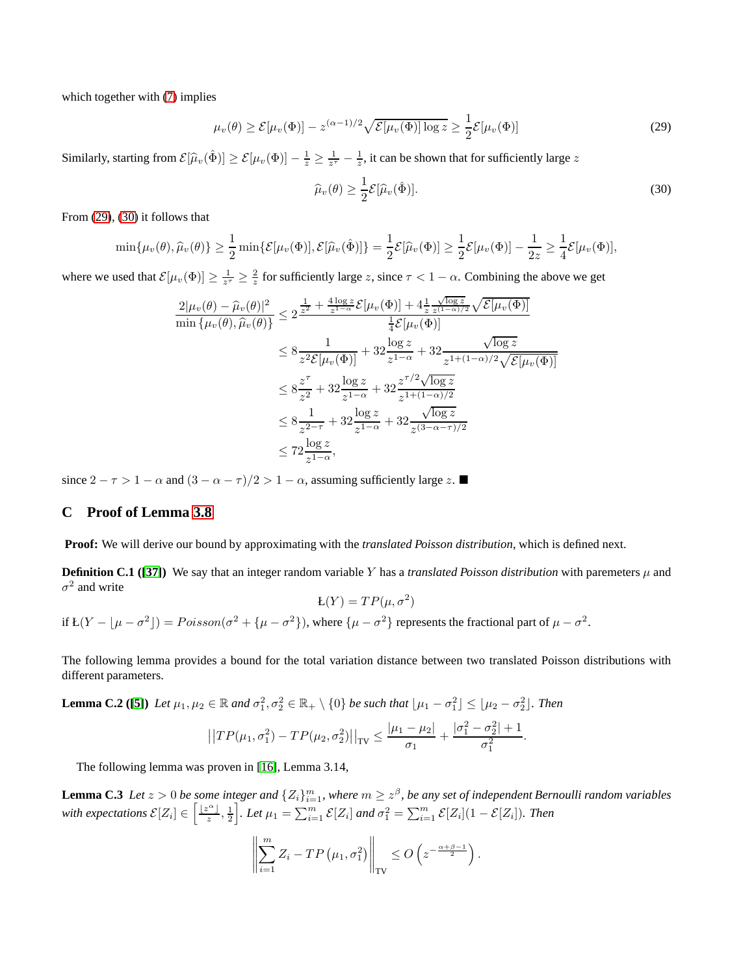which together with  $(7)$  implies

$$
\mu_v(\theta) \ge \mathcal{E}[\mu_v(\Phi)] - z^{(\alpha - 1)/2} \sqrt{\mathcal{E}[\mu_v(\Phi)] \log z} \ge \frac{1}{2} \mathcal{E}[\mu_v(\Phi)] \tag{29}
$$

Similarly, starting from  $\mathcal{E}[\hat{\mu}_v(\hat{\Phi})] \ge \mathcal{E}[\mu_v(\Phi)] - \frac{1}{z} \ge \frac{1}{z^{\tau}} - \frac{1}{z}$ , it can be shown that for sufficiently large z

<span id="page-17-2"></span><span id="page-17-1"></span>
$$
\widehat{\mu}_v(\theta) \ge \frac{1}{2} \mathcal{E}[\widehat{\mu}_v(\hat{\Phi})]. \tag{30}
$$

From [\(29\)](#page-17-1), [\(30\)](#page-17-2) it follows that

$$
\min{\mu_v(\theta), \widehat{\mu}_v(\theta)} \ge \frac{1}{2} \min{\{\mathcal{E}[\mu_v(\Phi)], \mathcal{E}[\widehat{\mu}_v(\hat{\Phi})]\}} = \frac{1}{2} \mathcal{E}[\widehat{\mu}_v(\Phi)] \ge \frac{1}{2} \mathcal{E}[\mu_v(\Phi)] - \frac{1}{2z} \ge \frac{1}{4} \mathcal{E}[\mu_v(\Phi)],
$$

where we used that  $\mathcal{E}[\mu_v(\Phi)] \ge \frac{1}{z^{\tau}} \ge \frac{2}{z}$  for sufficiently large z, since  $\tau < 1 - \alpha$ . Combining the above we get

$$
\frac{2|\mu_v(\theta) - \widehat{\mu}_v(\theta)|^2}{\min{\{\mu_v(\theta), \widehat{\mu}_v(\theta)\}}} \le 2 \frac{\frac{1}{z^2} + \frac{4 \log z}{z^{1-\alpha}} \mathcal{E}[\mu_v(\Phi)] + 4 \frac{1}{z} \frac{\sqrt{\log z}}{z^{(1-\alpha)/2}} \sqrt{\mathcal{E}[\mu_v(\Phi)]}}{\frac{1}{4} \mathcal{E}[\mu_v(\Phi)]}
$$
\n
$$
\le 8 \frac{1}{z^2 \mathcal{E}[\mu_v(\Phi)]} + 32 \frac{\log z}{z^{1-\alpha}} + 32 \frac{\sqrt{\log z}}{z^{1+(1-\alpha)/2} \sqrt{\mathcal{E}[\mu_v(\Phi)]}}
$$
\n
$$
\le 8 \frac{z^{\tau}}{z^2} + 32 \frac{\log z}{z^{1-\alpha}} + 32 \frac{z^{\tau/2} \sqrt{\log z}}{z^{1+(1-\alpha)/2}}
$$
\n
$$
\le 8 \frac{1}{z^{2-\tau}} + 32 \frac{\log z}{z^{1-\alpha}} + 32 \frac{\sqrt{\log z}}{z^{(3-\alpha-\tau)/2}}
$$
\n
$$
\le 72 \frac{\log z}{z^{1-\alpha}},
$$

since  $2 - \tau > 1 - \alpha$  and  $(3 - \alpha - \tau)/2 > 1 - \alpha$ , assuming sufficiently large z.

#### <span id="page-17-0"></span>**C Proof of Lemma [3.8](#page-7-3)**

**Proof:** We will derive our bound by approximating with the *translated Poisson distribution*, which is defined next.

**Definition C.1 ([\[37\]](#page-10-17))** We say that an integer random variable Y has a *translated Poisson distribution* with paremeters  $\mu$  and  $\sigma^2$  and write  $\mathsf{L}(Y) = TP(\mu, \sigma^2)$ 

if 
$$
E(Y - \mu - \sigma^2) = Poisson(\sigma^2 + \mu - \sigma^2)
$$
, where  $\mu - \sigma^2$  represents the fractional part of  $\mu - \sigma^2$ .

<span id="page-17-4"></span>The following lemma provides a bound for the total variation distance between two translated Poisson distributions with different parameters.

**Lemma C.2 ([\[5\]](#page-9-4)**) Let  $\mu_1, \mu_2 \in \mathbb{R}$  and  $\sigma_1^2, \sigma_2^2 \in \mathbb{R}_+ \setminus \{0\}$  be such that  $\lfloor \mu_1 - \sigma_1^2 \rfloor \leq \lfloor \mu_2 - \sigma_2^2 \rfloor$ . Then

$$
||TP(\mu_1, \sigma_1^2) - TP(\mu_2, \sigma_2^2)||_{TV} \le \frac{|\mu_1 - \mu_2|}{\sigma_1} + \frac{|\sigma_1^2 - \sigma_2^2| + 1}{\sigma_1^2}.
$$

The following lemma was proven in [\[16\]](#page-10-0), Lemma 3.14,

**Lemma C.3** Let  $z > 0$  be some integer and  $\{Z_i\}_{i=1}^m$ , where  $m \geq z^{\beta}$ , be any set of independent Bernoulli random variables with expectations  $\mathcal{E}[Z_i] \in \left[\frac{\lfloor z^{\alpha} \rfloor}{z}, \frac{1}{2}\right]$ *i*. Let  $\mu_1 = \sum_{i=1}^m \mathcal{E}[Z_i]$  and  $\sigma_1^2 = \sum_{i=1}^m \mathcal{E}[Z_i] (1 - \mathcal{E}[Z_i])$ . Then

<span id="page-17-3"></span>
$$
\left\| \sum_{i=1}^m Z_i - TP\left(\mu_1, \sigma_1^2\right) \right\|_{TV} \leq O\left(z^{-\frac{\alpha+\beta-1}{2}}\right).
$$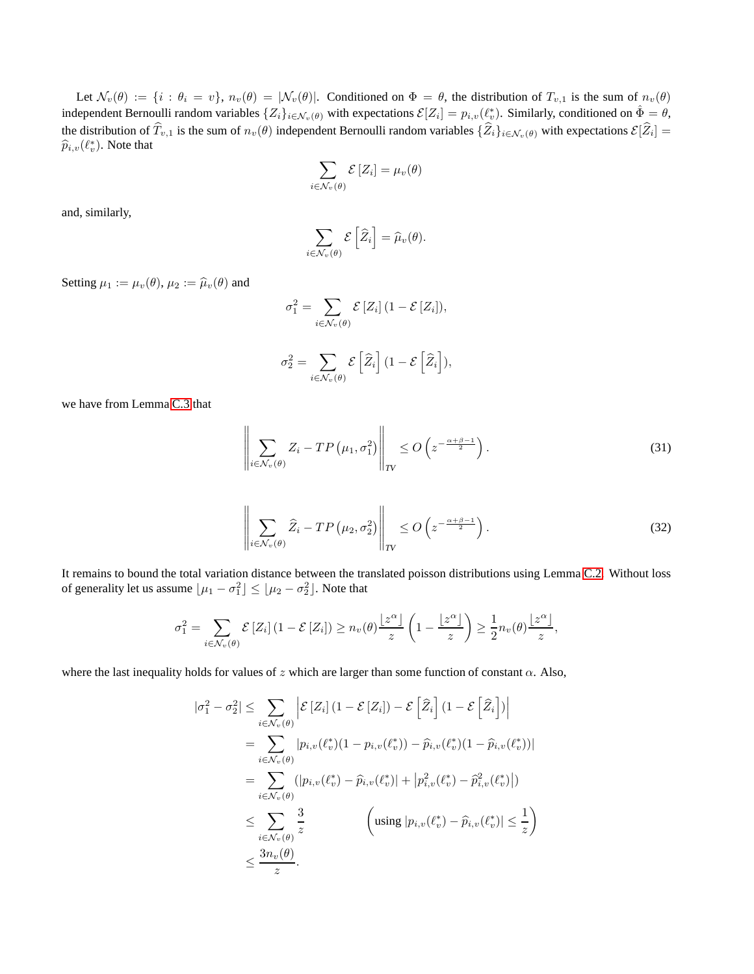Let  $\mathcal{N}_v(\theta) := \{i : \theta_i = v\}$ ,  $n_v(\theta) = |\mathcal{N}_v(\theta)|$ . Conditioned on  $\Phi = \theta$ , the distribution of  $T_{v,1}$  is the sum of  $n_v(\theta)$ independent Bernoulli random variables  $\{Z_i\}_{i \in \mathcal{N}_v(\theta)}$  with expectations  $\mathcal{E}[Z_i] = p_{i,v}(\ell_v^*)$ . Similarly, conditioned on  $\hat{\Phi} = \theta$ , the distribution of  $T_{v,1}$  is the sum of  $n_v(\theta)$  independent Bernoulli random variables  $\{Z_i\}_{i\in\mathcal{N}_v(\theta)}$  with expectations  $\mathcal{E}[Z_i] =$  $\widehat{p}_{i,v}(\ell_v^*)$ . Note that

$$
\sum_{i \in \mathcal{N}_v(\theta)} \mathcal{E}\left[Z_i\right] = \mu_v(\theta)
$$

and, similarly,

$$
\sum_{i \in \mathcal{N}_v(\theta)} \mathcal{E}\left[\widehat{Z}_i\right] = \widehat{\mu}_v(\theta).
$$

Setting  $\mu_1 := \mu_v(\theta), \mu_2 := \widehat{\mu}_v(\theta)$  and

$$
\sigma_1^2 = \sum_{i \in \mathcal{N}_v(\theta)} \mathcal{E}[Z_i] (1 - \mathcal{E}[Z_i]),
$$
  

$$
\sigma_2^2 = \sum_{i} \mathcal{E}[\widehat{Z}_i] (1 - \mathcal{E}[\widehat{Z}_i]),
$$

<span id="page-18-1"></span><span id="page-18-0"></span>
$$
\sigma_2^2 = \sum_{i \in \mathcal{N}_v(\theta)} \mathcal{E}\left[\widehat{Z}_i\right] \left(1 - \mathcal{E}\left[\widehat{Z}_i\right]\right)
$$

we have from Lemma [C.3](#page-17-3) that

$$
\left\| \sum_{i \in \mathcal{N}_v(\theta)} Z_i - TP\left(\mu_1, \sigma_1^2\right) \right\|_{TV} \le O\left(z^{-\frac{\alpha + \beta - 1}{2}}\right). \tag{31}
$$

$$
\left\| \sum_{i \in \mathcal{N}_v(\theta)} \widehat{Z}_i - TP\left(\mu_2, \sigma_2^2\right) \right\|_{TV} \le O\left(z^{-\frac{\alpha + \beta - 1}{2}}\right). \tag{32}
$$

It remains to bound the total variation distance between the translated poisson distributions using Lemma [C.2.](#page-17-4) Without loss of generality let us assume  $\lfloor \mu_1 - \sigma_1^2 \rfloor \leq \lfloor \mu_2 - \sigma_2^2 \rfloor$ . Note that

$$
\sigma_1^2 = \sum_{i \in \mathcal{N}_v(\theta)} \mathcal{E}\left[Z_i\right](1-\mathcal{E}\left[Z_i\right]) \ge n_v(\theta) \frac{\lfloor z^{\alpha} \rfloor}{z} \left(1-\frac{\lfloor z^{\alpha} \rfloor}{z}\right) \ge \frac{1}{2} n_v(\theta) \frac{\lfloor z^{\alpha} \rfloor}{z},
$$

where the last inequality holds for values of z which are larger than some function of constant  $\alpha$ . Also,

$$
|\sigma_1^2 - \sigma_2^2| \leq \sum_{i \in \mathcal{N}_v(\theta)} \left| \mathcal{E} \left[ Z_i \right] (1 - \mathcal{E} \left[ Z_i \right] ) - \mathcal{E} \left[ \hat{Z}_i \right] (1 - \mathcal{E} \left[ \hat{Z}_i \right] ) \right|
$$
  
\n
$$
= \sum_{i \in \mathcal{N}_v(\theta)} |p_{i,v}(\ell_v^*)(1 - p_{i,v}(\ell_v^*)) - \hat{p}_{i,v}(\ell_v^*)(1 - \hat{p}_{i,v}(\ell_v^*))|
$$
  
\n
$$
= \sum_{i \in \mathcal{N}_v(\theta)} (|p_{i,v}(\ell_v^*) - \hat{p}_{i,v}(\ell_v^*)| + |p_{i,v}^2(\ell_v^*) - \hat{p}_{i,v}^2(\ell_v^*)|)
$$
  
\n
$$
\leq \sum_{i \in \mathcal{N}_v(\theta)} \frac{3}{z} \qquad \left( \text{using } |p_{i,v}(\ell_v^*) - \hat{p}_{i,v}(\ell_v^*)| \leq \frac{1}{z} \right)
$$
  
\n
$$
\leq \frac{3n_v(\theta)}{z}.
$$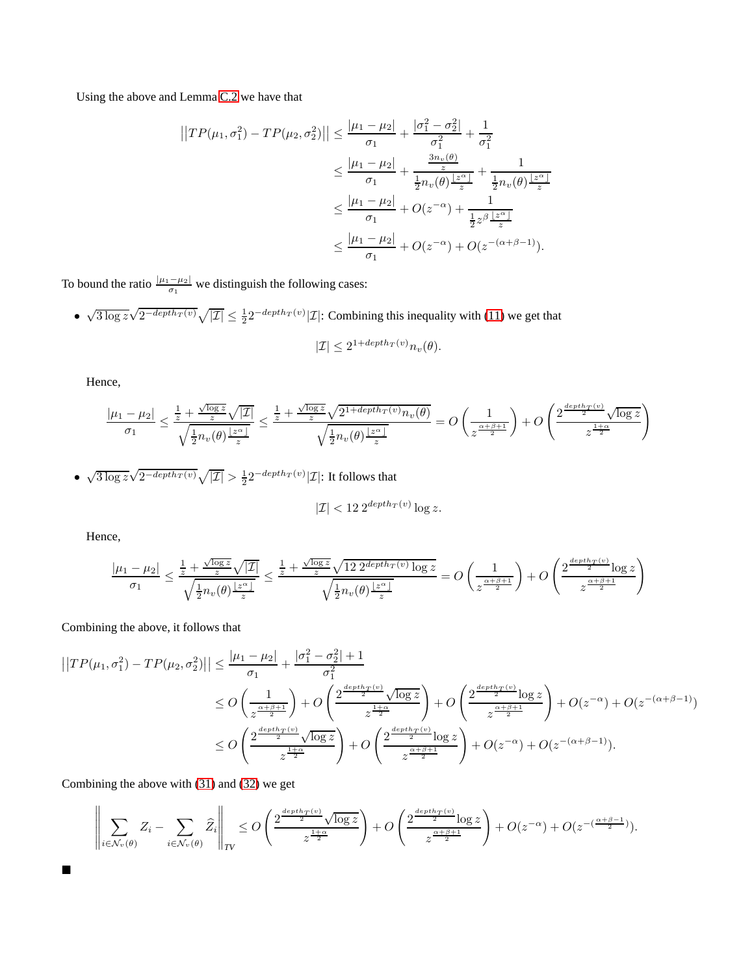Using the above and Lemma [C.2](#page-17-4) we have that

$$
\begin{aligned}\n||TP(\mu_1, \sigma_1^2) - TP(\mu_2, \sigma_2^2)|| &\leq \frac{|\mu_1 - \mu_2|}{\sigma_1} + \frac{|\sigma_1^2 - \sigma_2^2|}{\sigma_1^2} + \frac{1}{\sigma_1^2} \\
&\leq \frac{|\mu_1 - \mu_2|}{\sigma_1} + \frac{\frac{3n_v(\theta)}{z}}{\frac{1}{2}n_v(\theta)\frac{|z^{\alpha}|}{z}} + \frac{1}{\frac{1}{2}n_v(\theta)\frac{|z^{\alpha}|}{z}} \\
&\leq \frac{|\mu_1 - \mu_2|}{\sigma_1} + O(z^{-\alpha}) + \frac{1}{\frac{1}{2}z^{\beta}\frac{|z^{\alpha}|}{z}} \\
&\leq \frac{|\mu_1 - \mu_2|}{\sigma_1} + O(z^{-\alpha}) + O(z^{-(\alpha+\beta-1)}).\n\end{aligned}
$$

To bound the ratio  $\frac{|\mu_1 - \mu_2|}{\sigma_1}$  we distinguish the following cases:

•  $\sqrt{3 \log z} \sqrt{2^{-depth_T(v)}} \sqrt{|\mathcal{I}|} \le \frac{1}{2} 2^{-depth_T(v)} |\mathcal{I}|$ : Combining this inequality with [\(11\)](#page-7-9) we get that

$$
|\mathcal{I}| \le 2^{1 + depth_T(v)} n_v(\theta).
$$

Hence,

$$
\frac{|\mu_1 - \mu_2|}{\sigma_1} \le \frac{\frac{1}{z} + \frac{\sqrt{\log z}}{z} \sqrt{|\mathcal{I}|}}{\sqrt{\frac{1}{2}n_v(\theta)\frac{|z^{\alpha}|}{z}}}\le \frac{\frac{1}{z} + \frac{\sqrt{\log z}}{z} \sqrt{2^{1+depth_T(v)}n_v(\theta)}}{\sqrt{\frac{1}{2}n_v(\theta)\frac{|z^{\alpha}|}{z}}}\n= O\left(\frac{1}{z^{\frac{\alpha+\beta+1}{2}}}\right) + O\left(\frac{2^{\frac{depth_T(v)}{2}} \sqrt{\log z}}{z^{\frac{1+\alpha}{2}}}\right)
$$

•  $\sqrt{3 \log z} \sqrt{2^{-depth_T(v)}} \sqrt{|\mathcal{I}|} > \frac{1}{2} 2^{-depth_T(v)} |\mathcal{I}|$ : It follows that

$$
|\mathcal{I}| < 12 \, 2^{\text{depth}_T(v)} \log z.
$$

Hence,

$$
\frac{|\mu_1 - \mu_2|}{\sigma_1} \le \frac{\frac{1}{z} + \frac{\sqrt{\log z}}{z} \sqrt{|\mathcal{I}|}}{\sqrt{\frac{1}{2}n_v(\theta)\frac{|z^{\alpha}|}{z}}}\le \frac{\frac{1}{z} + \frac{\sqrt{\log z}}{z} \sqrt{12 \cdot 2^{\text{depth}_T(v)} \log z}}{\sqrt{\frac{1}{2}n_v(\theta)\frac{|z^{\alpha}|}{z}}}=O\left(\frac{1}{z^{\frac{\alpha+\beta+1}{2}}}\right) + O\left(\frac{2^{\frac{\text{depth}_T(v)}{2} \log z}}{z^{\frac{\alpha+\beta+1}{2}}}\right)
$$

Combining the above, it follows that

$$
\begin{split} \left| \left| TP(\mu_1, \sigma_1^2) - TP(\mu_2, \sigma_2^2) \right| \right| &\leq \frac{|\mu_1 - \mu_2|}{\sigma_1} + \frac{|\sigma_1^2 - \sigma_2^2| + 1}{\sigma_1^2} \\ &\leq O\left(\frac{1}{z^{\frac{\alpha + \beta + 1}{2}}} \right) + O\left( \frac{2^{\frac{depth_T(v)}{2}} \sqrt{\log z}}{z^{\frac{1 + \alpha}{2}}} \right) + O\left( \frac{2^{\frac{depth_T(v)}{2}} \log z}{z^{\frac{\alpha + \beta + 1}{2}}} \right) + O(z^{-\alpha}) + O(z^{-(\alpha + \beta - 1)}) \\ &\leq O\left( \frac{2^{\frac{depth_T(v)}{2}} \sqrt{\log z}}{z^{\frac{1 + \alpha}{2}}} \right) + O\left( \frac{2^{\frac{depth_T(v)}{2}} \log z}{z^{\frac{\alpha + \beta + 1}{2}}} \right) + O(z^{-\alpha}) + O(z^{-(\alpha + \beta - 1)}). \end{split}
$$

Combining the above with [\(31\)](#page-18-0) and [\(32\)](#page-18-1) we get

$$
\left\|\sum_{i\in\mathcal{N}_v(\theta)}Z_i-\sum_{i\in\mathcal{N}_v(\theta)}\widehat{Z}_i\right\|_{TV}\leq O\left(\frac{2^{\frac{depth_T(v)}{2}}\sqrt{\log z}}{z^{\frac{1+\alpha}{2}}}\right)+O\left(\frac{2^{\frac{depth_T(v)}{2}}\log z}{z^{\frac{\alpha+\beta+1}{2}}}\right)+O(z^{-\alpha})+O(z^{-(\frac{\alpha+\beta-1}{2}})).
$$

 $\blacksquare$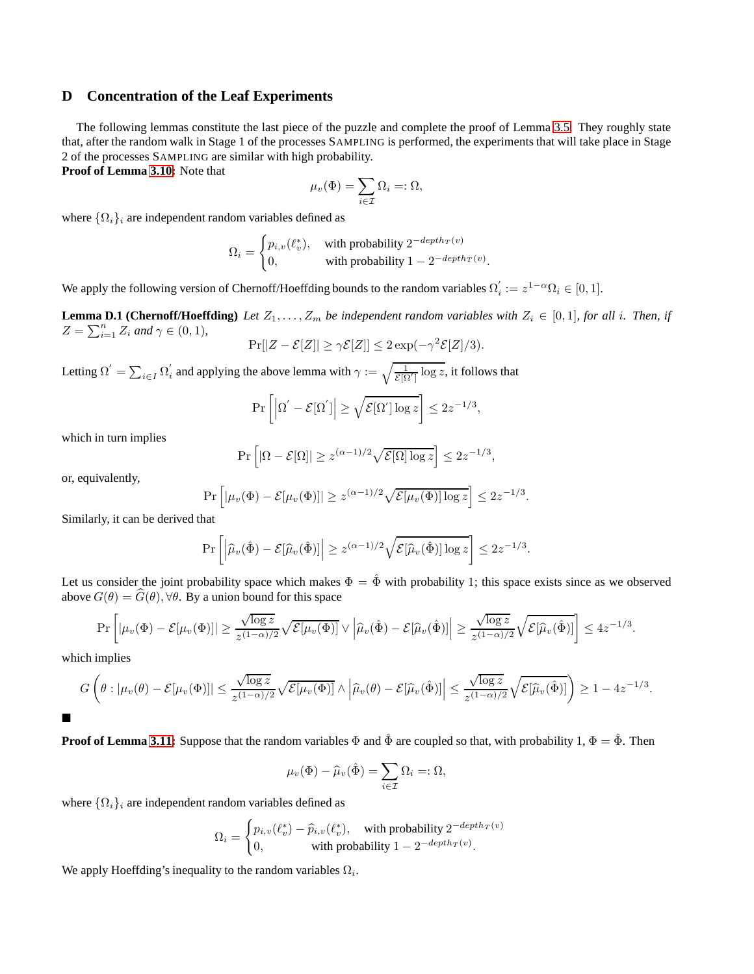# <span id="page-20-0"></span>**D Concentration of the Leaf Experiments**

The following lemmas constitute the last piece of the puzzle and complete the proof of Lemma [3.5.](#page-6-5) They roughly state that, after the random walk in Stage 1 of the processes SAMPLING is performed, the experiments that will take place in Stage 2 of the processes SAMPLING are similar with high probability.

**Proof of Lemma [3.10:](#page-8-3)** Note that

<span id="page-20-1"></span>
$$
\mu_v(\Phi)=\sum_{i\in\mathcal{I}}\Omega_i=:\Omega,
$$

where  $\{\Omega_i\}_i$  are independent random variables defined as

$$
\Omega_i = \begin{cases} p_{i,v}(\ell_v^*), & \text{ with probability } 2^{-depth_T(v)} \\ 0, & \text{ with probability } 1 - 2^{-depth_T(v)}. \end{cases}
$$

We apply the following version of Chernoff/Hoeffding bounds to the random variables  $\Omega'_{i}$  $i := z^{1-\alpha} \Omega_i \in [0,1].$ 

**Lemma D.1 (Chernoff/Hoeffding)** Let  $Z_1, \ldots, Z_m$  be independent random variables with  $Z_i \in [0,1]$ *, for all i. Then, if*  $Z = \sum_{i=1}^{n} Z_i$  and  $\gamma \in (0, 1)$ ,

$$
\Pr[|Z - \mathcal{E}[Z]| \geq \gamma \mathcal{E}[Z]] \leq 2 \exp(-\gamma^2 \mathcal{E}[Z]/3).
$$

Letting  $\Omega' = \sum_{i \in I} \Omega'_i$  $\alpha'_i$  and applying the above lemma with  $\gamma := \sqrt{\frac{1}{\mathcal{E}[\Omega']}} \log z$ , it follows that

$$
\Pr\left[\left|\Omega'-\mathcal{E}[\Omega']\right|\geq \sqrt{\mathcal{E}[\Omega']\log z}\right]\leq 2z^{-1/3},
$$

which in turn implies

$$
\Pr\left[|\Omega - \mathcal{E}[\Omega]| \ge z^{(\alpha - 1)/2} \sqrt{\mathcal{E}[\Omega] \log z}\right] \le 2z^{-1/3},
$$

or, equivalently,

$$
\Pr\left[|\mu_v(\Phi) - \mathcal{E}[\mu_v(\Phi)]| \geq z^{(\alpha-1)/2} \sqrt{\mathcal{E}[\mu_v(\Phi)] \log z}\right] \leq 2z^{-1/3}.
$$

Similarly, it can be derived that

$$
\Pr\left[\left|\widehat{\mu}_v(\hat{\Phi}) - \mathcal{E}[\widehat{\mu}_v(\hat{\Phi})]\right| \geq z^{(\alpha-1)/2} \sqrt{\mathcal{E}[\widehat{\mu}_v(\hat{\Phi})]\log z}\right] \leq 2z^{-1/3}.
$$

Let us consider the joint probability space which makes  $\Phi = \hat{\Phi}$  with probability 1; this space exists since as we observed above  $G(\theta) = \widehat{G}(\theta)$ ,  $\forall \theta$ . By a union bound for this space

$$
\Pr\left[|\mu_v(\Phi) - \mathcal{E}[\mu_v(\Phi)]| \geq \frac{\sqrt{\log z}}{z^{(1-\alpha)/2}} \sqrt{\mathcal{E}[\mu_v(\Phi)]} \vee \left|\widehat{\mu}_v(\hat{\Phi}) - \mathcal{E}[\widehat{\mu}_v(\hat{\Phi})]\right| \geq \frac{\sqrt{\log z}}{z^{(1-\alpha)/2}} \sqrt{\mathcal{E}[\widehat{\mu}_v(\hat{\Phi})]}\right] \leq 4z^{-1/3}.
$$

which implies

$$
G\left(\theta:|\mu_v(\theta)-\mathcal{E}[\mu_v(\Phi)]|\leq \frac{\sqrt{\log z}}{z^{(1-\alpha)/2}}\sqrt{\mathcal{E}[\mu_v(\Phi)]}\wedge \left|\widehat{\mu}_v(\theta)-\mathcal{E}[\widehat{\mu}_v(\hat{\Phi})]\right|\leq \frac{\sqrt{\log z}}{z^{(1-\alpha)/2}}\sqrt{\mathcal{E}[\widehat{\mu}_v(\hat{\Phi})]}\right)\geq 1-4z^{-1/3}.
$$

**Proof of Lemma [3.11:](#page-8-4)** Suppose that the random variables  $\Phi$  and  $\hat{\Phi}$  are coupled so that, with probability 1,  $\Phi = \hat{\Phi}$ . Then

$$
\mu_v(\Phi) - \widehat{\mu}_v(\hat{\Phi}) = \sum_{i \in \mathcal{I}} \Omega_i =: \Omega,
$$

where  $\{\Omega_i\}_i$  are independent random variables defined as

$$
\Omega_i = \begin{cases} p_{i,v}(\ell_v^*) - \widehat{p}_{i,v}(\ell_v^*), & \text{with probability } 2^{-depth_T(v)} \\ 0, & \text{with probability } 1 - 2^{-depth_T(v)}. \end{cases}
$$

We apply Hoeffding's inequality to the random variables  $\Omega_i$ .